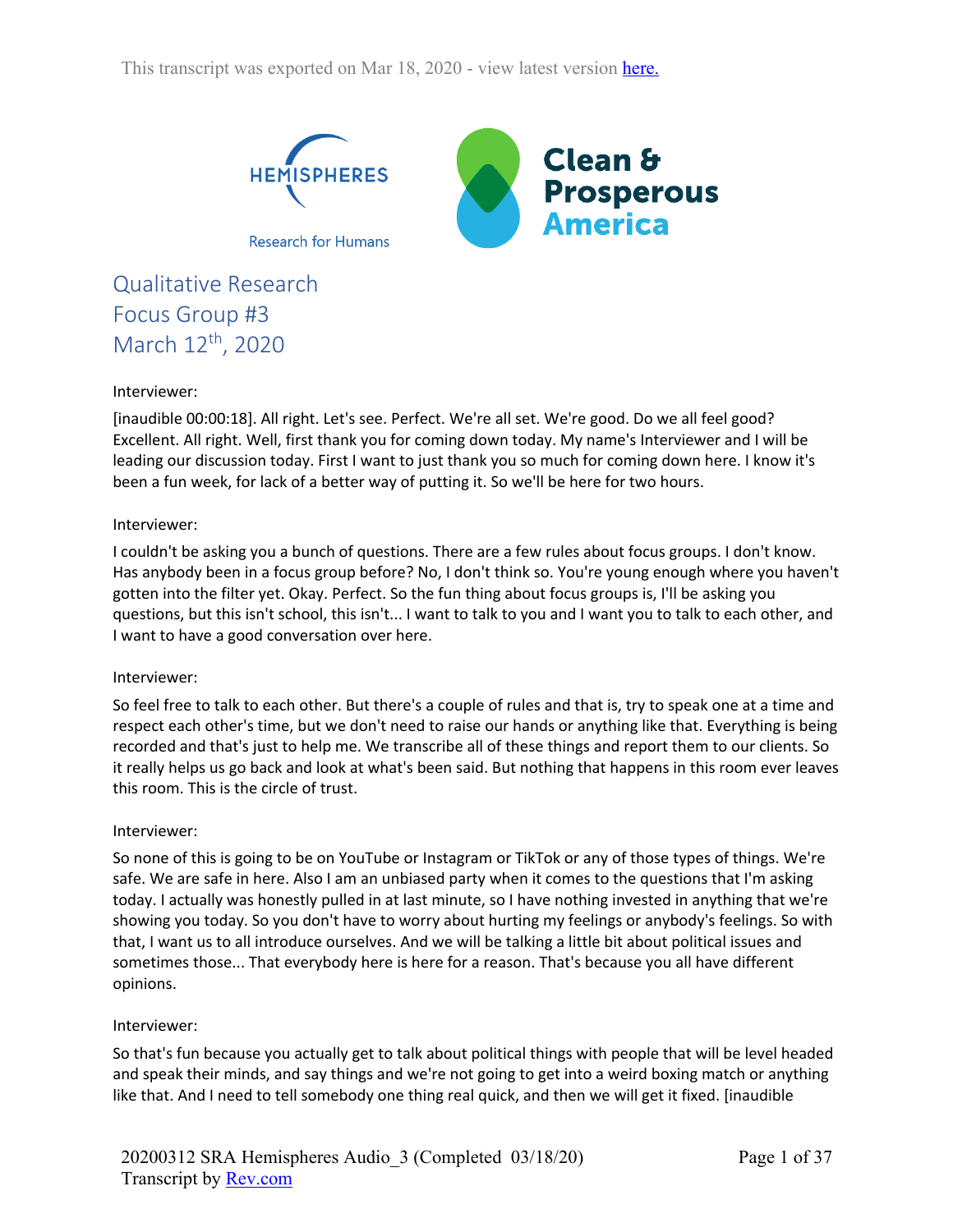

Qualitative Research Focus Group #3 March 12<sup>th</sup>, 2020

### Interviewer:

[inaudible 00:00:18]. All right. Let's see. Perfect. We're all set. We're good. Do we all feel good? Excellent. All right. Well, first thank you for coming down today. My name's Interviewer and I will be leading our discussion today. First I want to just thank you so much for coming down here. I know it's been a fun week, for lack of a better way of putting it. So we'll be here for two hours.

#### Interviewer:

I couldn't be asking you a bunch of questions. There are a few rules about focus groups. I don't know. Has anybody been in a focus group before? No, I don't think so. You're young enough where you haven't gotten into the filter yet. Okay. Perfect. So the fun thing about focus groups is, I'll be asking you questions, but this isn't school, this isn't... I want to talk to you and I want you to talk to each other, and I want to have a good conversation over here.

#### Interviewer:

So feel free to talk to each other. But there's a couple of rules and that is, try to speak one at a time and respect each other's time, but we don't need to raise our hands or anything like that. Everything is being recorded and that's just to help me. We transcribe all of these things and report them to our clients. So it really helps us go back and look at what's been said. But nothing that happens in this room ever leaves this room. This is the circle of trust.

#### Interviewer:

So none of this is going to be on YouTube or Instagram or TikTok or any of those types of things. We're safe. We are safe in here. Also I am an unbiased party when it comes to the questions that I'm asking today. I actually was honestly pulled in at last minute, so I have nothing invested in anything that we're showing you today. So you don't have to worry about hurting my feelings or anybody's feelings. So with that, I want us to all introduce ourselves. And we will be talking a little bit about political issues and sometimes those... That everybody here is here for a reason. That's because you all have different opinions.

#### Interviewer:

So that's fun because you actually get to talk about political things with people that will be level headed and speak their minds, and say things and we're not going to get into a weird boxing match or anything like that. And I need to tell somebody one thing real quick, and then we will get it fixed. [inaudible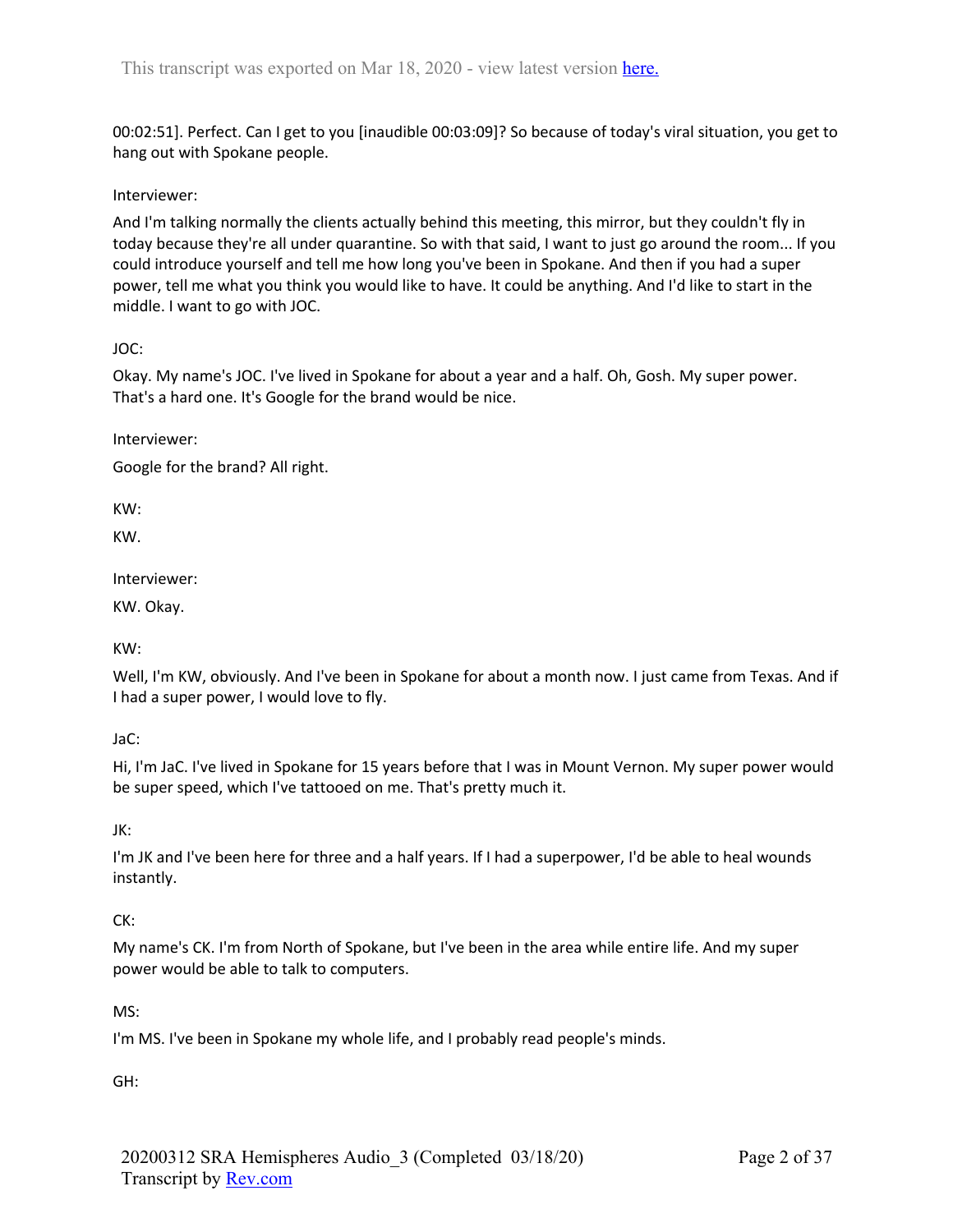00:02:51]. Perfect. Can I get to you [inaudible 00:03:09]? So because of today's viral situation, you get to hang out with Spokane people.

### Interviewer:

And I'm talking normally the clients actually behind this meeting, this mirror, but they couldn't fly in today because they're all under quarantine. So with that said, I want to just go around the room... If you could introduce yourself and tell me how long you've been in Spokane. And then if you had a super power, tell me what you think you would like to have. It could be anything. And I'd like to start in the middle. I want to go with JOC.

## JOC:

Okay. My name's JOC. I've lived in Spokane for about a year and a half. Oh, Gosh. My super power. That's a hard one. It's Google for the brand would be nice.

Interviewer:

Google for the brand? All right.

KW:

KW.

Interviewer:

KW. Okay.

KW:

Well, I'm KW, obviously. And I've been in Spokane for about a month now. I just came from Texas. And if I had a super power, I would love to fly.

JaC:

Hi, I'm JaC. I've lived in Spokane for 15 years before that I was in Mount Vernon. My super power would be super speed, which I've tattooed on me. That's pretty much it.

JK:

I'm JK and I've been here for three and a half years. If I had a superpower, I'd be able to heal wounds instantly.

## CK:

My name's CK. I'm from North of Spokane, but I've been in the area while entire life. And my super power would be able to talk to computers.

MS:

I'm MS. I've been in Spokane my whole life, and I probably read people's minds.

GH: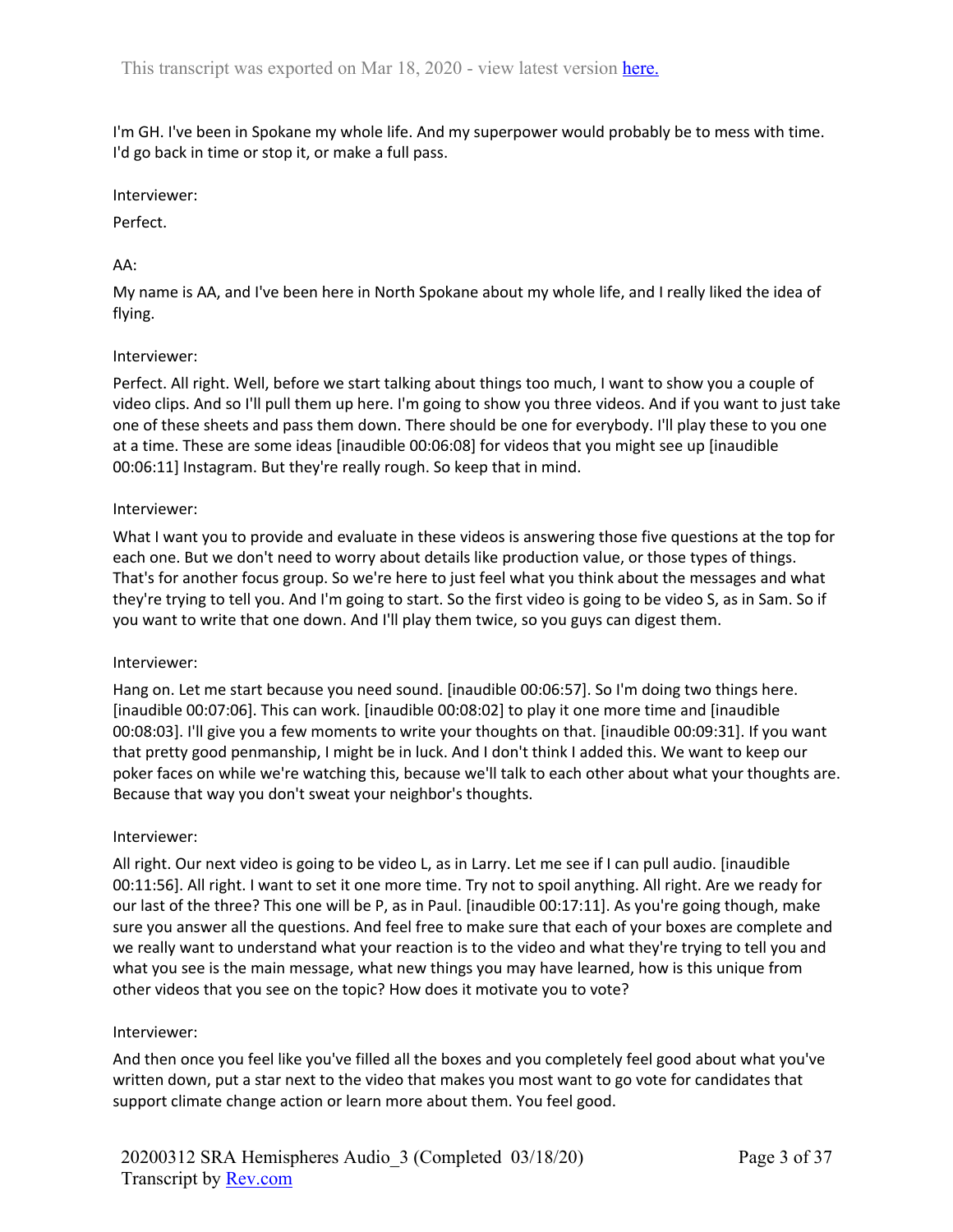I'm GH. I've been in Spokane my whole life. And my superpower would probably be to mess with time. I'd go back in time or stop it, or make a full pass.

#### Interviewer:

Perfect.

# AA:

My name is AA, and I've been here in North Spokane about my whole life, and I really liked the idea of flying.

### Interviewer:

Perfect. All right. Well, before we start talking about things too much, I want to show you a couple of video clips. And so I'll pull them up here. I'm going to show you three videos. And if you want to just take one of these sheets and pass them down. There should be one for everybody. I'll play these to you one at a time. These are some ideas [inaudible 00:06:08] for videos that you might see up [inaudible 00:06:11] Instagram. But they're really rough. So keep that in mind.

#### Interviewer:

What I want you to provide and evaluate in these videos is answering those five questions at the top for each one. But we don't need to worry about details like production value, or those types of things. That's for another focus group. So we're here to just feel what you think about the messages and what they're trying to tell you. And I'm going to start. So the first video is going to be video S, as in Sam. So if you want to write that one down. And I'll play them twice, so you guys can digest them.

#### Interviewer:

Hang on. Let me start because you need sound. [inaudible 00:06:57]. So I'm doing two things here. [inaudible 00:07:06]. This can work. [inaudible 00:08:02] to play it one more time and [inaudible 00:08:03]. I'll give you a few moments to write your thoughts on that. [inaudible 00:09:31]. If you want that pretty good penmanship, I might be in luck. And I don't think I added this. We want to keep our poker faces on while we're watching this, because we'll talk to each other about what your thoughts are. Because that way you don't sweat your neighbor's thoughts.

#### Interviewer:

All right. Our next video is going to be video L, as in Larry. Let me see if I can pull audio. [inaudible 00:11:56]. All right. I want to set it one more time. Try not to spoil anything. All right. Are we ready for our last of the three? This one will be P, as in Paul. [inaudible 00:17:11]. As you're going though, make sure you answer all the questions. And feel free to make sure that each of your boxes are complete and we really want to understand what your reaction is to the video and what they're trying to tell you and what you see is the main message, what new things you may have learned, how is this unique from other videos that you see on the topic? How does it motivate you to vote?

#### Interviewer:

And then once you feel like you've filled all the boxes and you completely feel good about what you've written down, put a star next to the video that makes you most want to go vote for candidates that support climate change action or learn more about them. You feel good.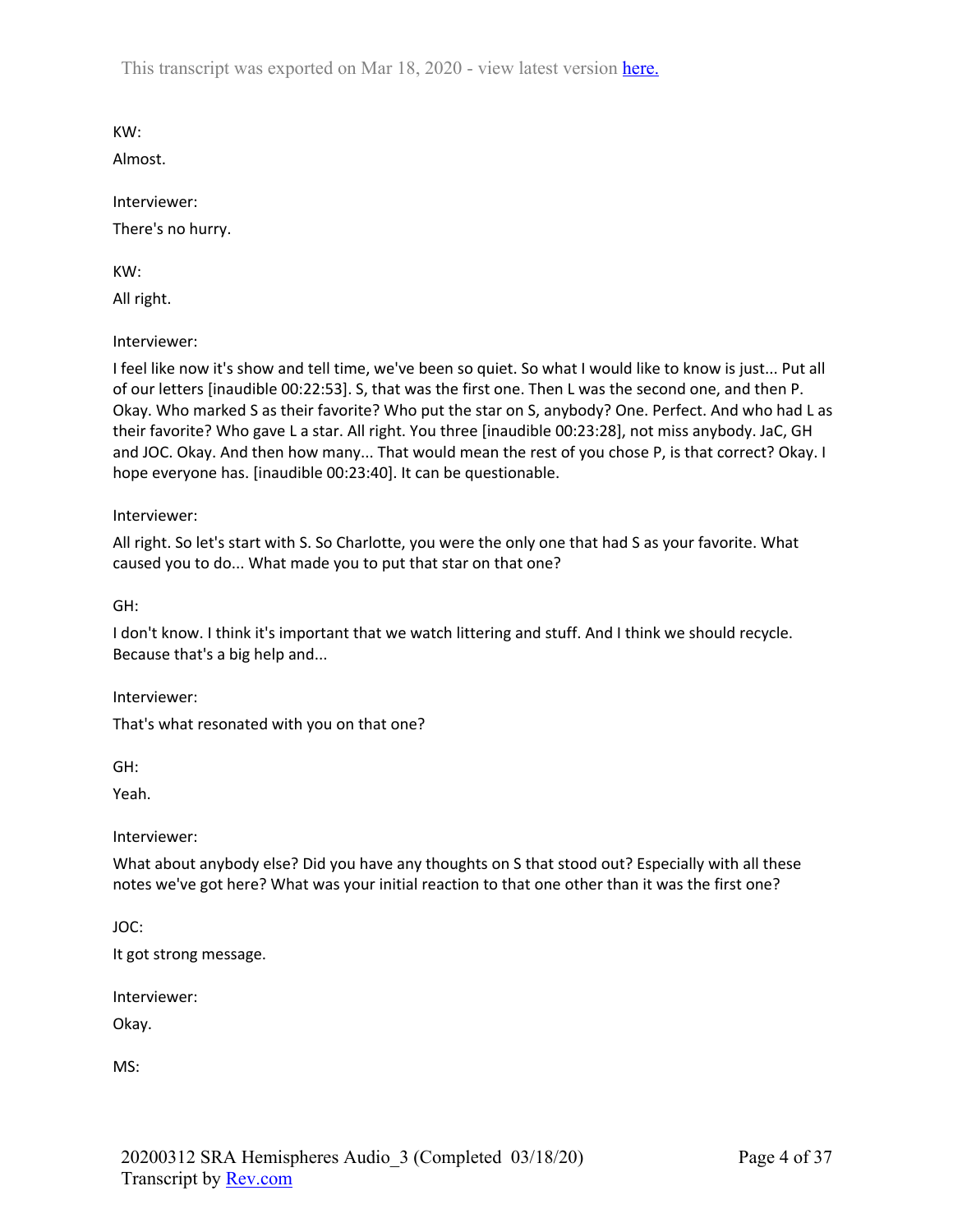KW:

Almost.

Interviewer:

There's no hurry.

KW:

All right.

Interviewer:

I feel like now it's show and tell time, we've been so quiet. So what I would like to know is just... Put all of our letters [inaudible 00:22:53]. S, that was the first one. Then L was the second one, and then P. Okay. Who marked S as their favorite? Who put the star on S, anybody? One. Perfect. And who had L as their favorite? Who gave L a star. All right. You three [inaudible 00:23:28], not miss anybody. JaC, GH and JOC. Okay. And then how many... That would mean the rest of you chose P, is that correct? Okay. I hope everyone has. [inaudible 00:23:40]. It can be questionable.

Interviewer:

All right. So let's start with S. So Charlotte, you were the only one that had S as your favorite. What caused you to do... What made you to put that star on that one?

GH:

I don't know. I think it's important that we watch littering and stuff. And I think we should recycle. Because that's a big help and...

Interviewer:

That's what resonated with you on that one?

GH:

Yeah.

Interviewer:

What about anybody else? Did you have any thoughts on S that stood out? Especially with all these notes we've got here? What was your initial reaction to that one other than it was the first one?

JOC:

It got strong message.

Interviewer:

Okay.

MS: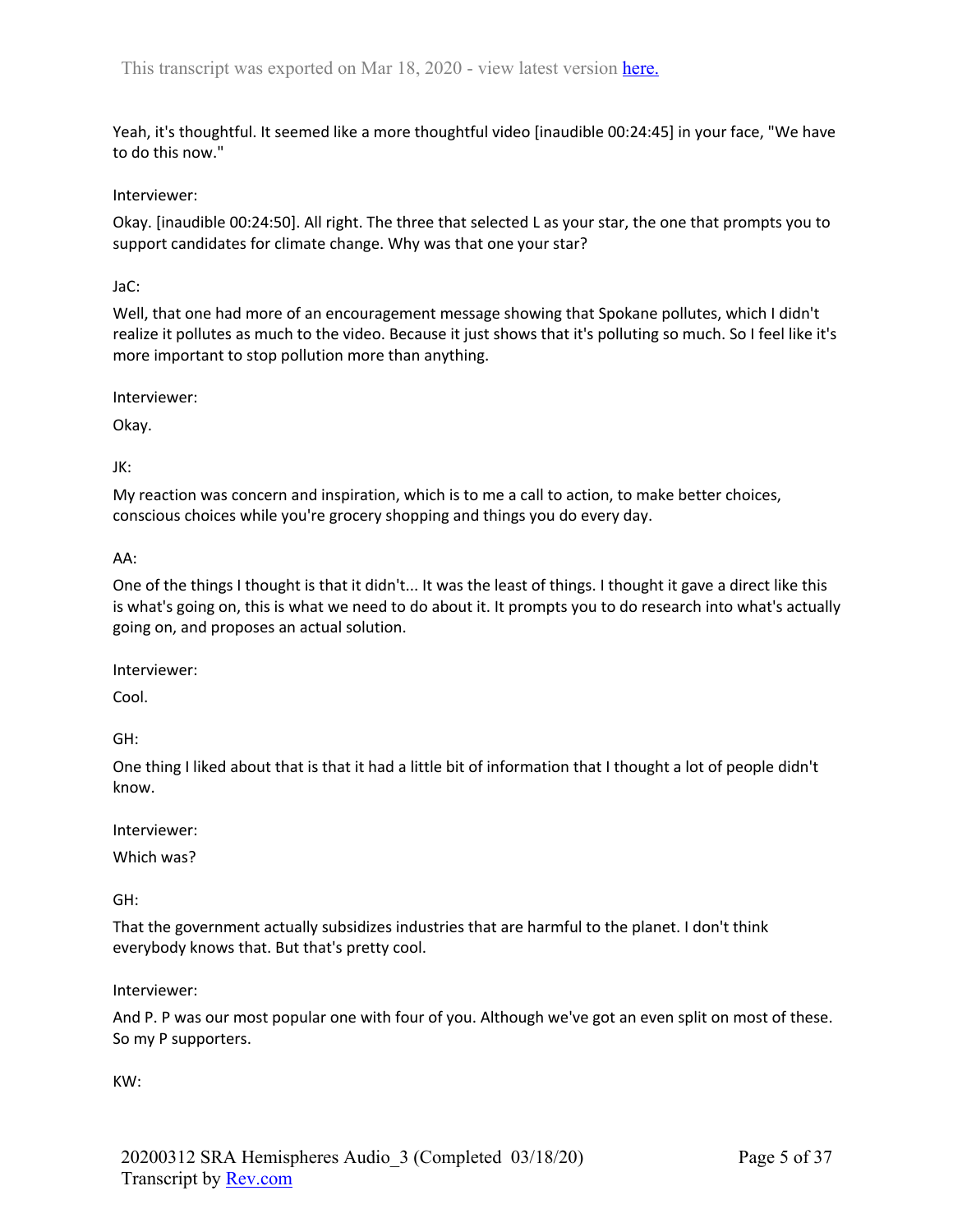Yeah, it's thoughtful. It seemed like a more thoughtful video [inaudible 00:24:45] in your face, "We have to do this now."

Interviewer:

Okay. [inaudible 00:24:50]. All right. The three that selected L as your star, the one that prompts you to support candidates for climate change. Why was that one your star?

JaC:

Well, that one had more of an encouragement message showing that Spokane pollutes, which I didn't realize it pollutes as much to the video. Because it just shows that it's polluting so much. So I feel like it's more important to stop pollution more than anything.

Interviewer:

Okay.

JK:

My reaction was concern and inspiration, which is to me a call to action, to make better choices, conscious choices while you're grocery shopping and things you do every day.

AA:

One of the things I thought is that it didn't... It was the least of things. I thought it gave a direct like this is what's going on, this is what we need to do about it. It prompts you to do research into what's actually going on, and proposes an actual solution.

Interviewer:

Cool.

GH:

One thing I liked about that is that it had a little bit of information that I thought a lot of people didn't know.

Interviewer:

Which was?

GH:

That the government actually subsidizes industries that are harmful to the planet. I don't think everybody knows that. But that's pretty cool.

Interviewer:

And P. P was our most popular one with four of you. Although we've got an even split on most of these. So my P supporters.

KW: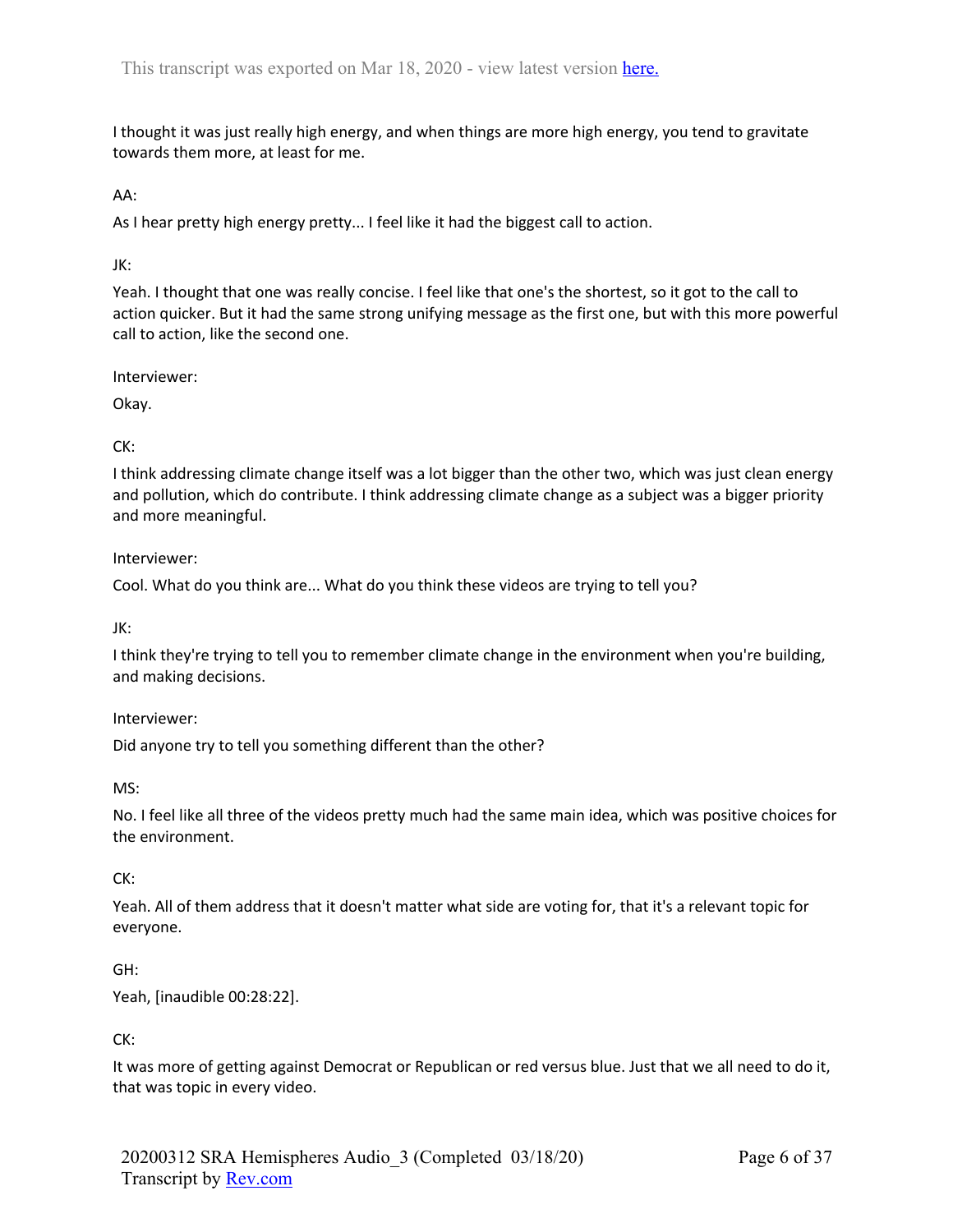I thought it was just really high energy, and when things are more high energy, you tend to gravitate towards them more, at least for me.

### AA:

As I hear pretty high energy pretty... I feel like it had the biggest call to action.

### JK:

Yeah. I thought that one was really concise. I feel like that one's the shortest, so it got to the call to action quicker. But it had the same strong unifying message as the first one, but with this more powerful call to action, like the second one.

Interviewer:

Okay.

## CK:

I think addressing climate change itself was a lot bigger than the other two, which was just clean energy and pollution, which do contribute. I think addressing climate change as a subject was a bigger priority and more meaningful.

#### Interviewer:

Cool. What do you think are... What do you think these videos are trying to tell you?

JK:

I think they're trying to tell you to remember climate change in the environment when you're building, and making decisions.

#### Interviewer:

Did anyone try to tell you something different than the other?

MS:

No. I feel like all three of the videos pretty much had the same main idea, which was positive choices for the environment.

#### CK:

Yeah. All of them address that it doesn't matter what side are voting for, that it's a relevant topic for everyone.

#### GH:

Yeah, [inaudible 00:28:22].

#### CK:

It was more of getting against Democrat or Republican or red versus blue. Just that we all need to do it, that was topic in every video.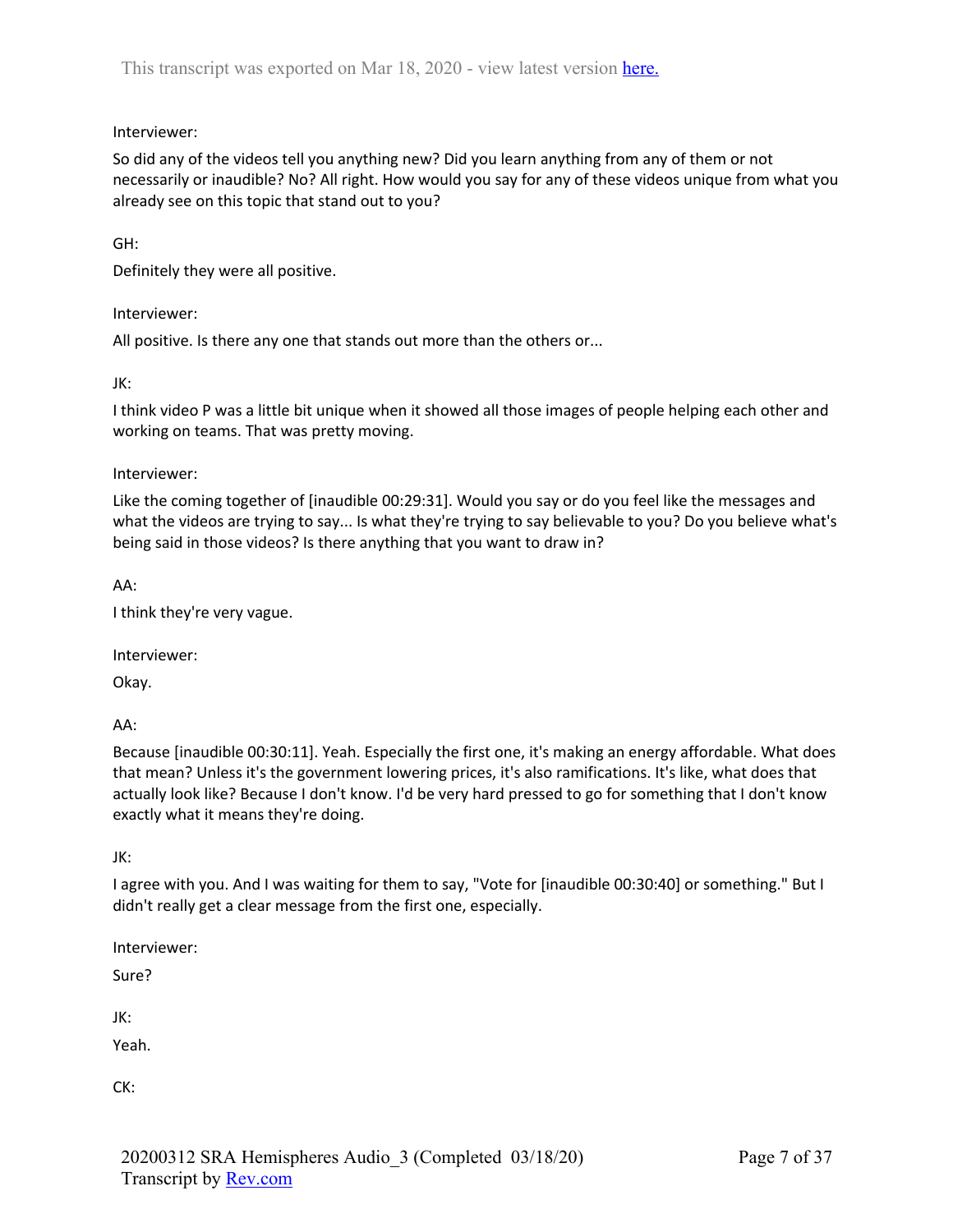## Interviewer:

So did any of the videos tell you anything new? Did you learn anything from any of them or not necessarily or inaudible? No? All right. How would you say for any of these videos unique from what you already see on this topic that stand out to you?

GH:

Definitely they were all positive.

Interviewer:

All positive. Is there any one that stands out more than the others or...

JK:

I think video P was a little bit unique when it showed all those images of people helping each other and working on teams. That was pretty moving.

Interviewer:

Like the coming together of [inaudible 00:29:31]. Would you say or do you feel like the messages and what the videos are trying to say... Is what they're trying to say believable to you? Do you believe what's being said in those videos? Is there anything that you want to draw in?

AA:

I think they're very vague.

Interviewer:

Okay.

AA:

Because [inaudible 00:30:11]. Yeah. Especially the first one, it's making an energy affordable. What does that mean? Unless it's the government lowering prices, it's also ramifications. It's like, what does that actually look like? Because I don't know. I'd be very hard pressed to go for something that I don't know exactly what it means they're doing.

JK:

I agree with you. And I was waiting for them to say, "Vote for [inaudible 00:30:40] or something." But I didn't really get a clear message from the first one, especially.

Interviewer:

Sure?

JK:

Yeah.

CK: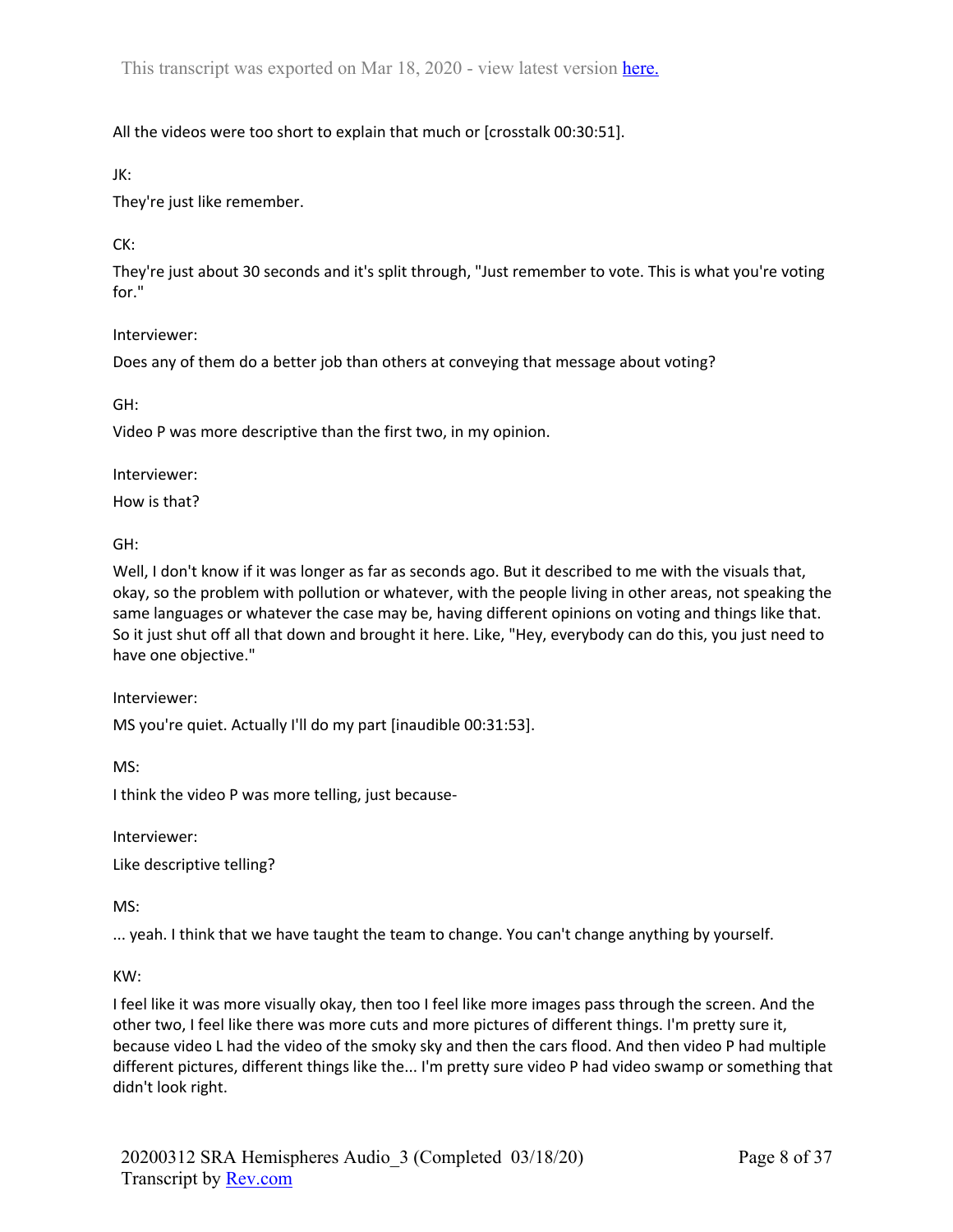# All the videos were too short to explain that much or [crosstalk 00:30:51].

JK:

They're just like remember.

CK:

They're just about 30 seconds and it's split through, "Just remember to vote. This is what you're voting for."

### Interviewer:

Does any of them do a better job than others at conveying that message about voting?

GH:

Video P was more descriptive than the first two, in my opinion.

Interviewer:

How is that?

GH:

Well, I don't know if it was longer as far as seconds ago. But it described to me with the visuals that, okay, so the problem with pollution or whatever, with the people living in other areas, not speaking the same languages or whatever the case may be, having different opinions on voting and things like that. So it just shut off all that down and brought it here. Like, "Hey, everybody can do this, you just need to have one objective."

Interviewer:

MS you're quiet. Actually I'll do my part [inaudible 00:31:53].

MS:

I think the video P was more telling, just because-

Interviewer:

Like descriptive telling?

MS:

... yeah. I think that we have taught the team to change. You can't change anything by yourself.

KW:

I feel like it was more visually okay, then too I feel like more images pass through the screen. And the other two, I feel like there was more cuts and more pictures of different things. I'm pretty sure it, because video L had the video of the smoky sky and then the cars flood. And then video P had multiple different pictures, different things like the... I'm pretty sure video P had video swamp or something that didn't look right.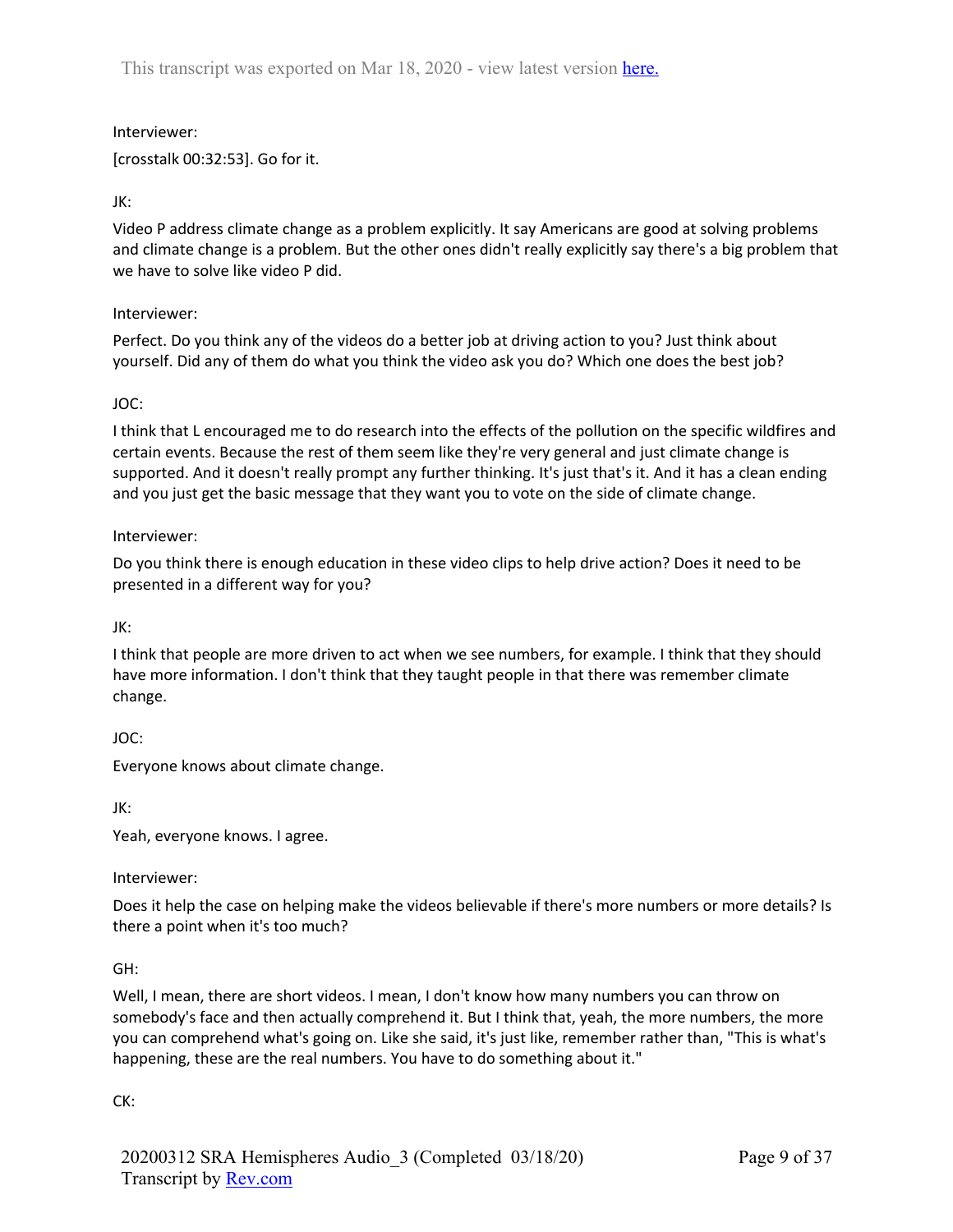## Interviewer:

[crosstalk 00:32:53]. Go for it.

# JK:

Video P address climate change as a problem explicitly. It say Americans are good at solving problems and climate change is a problem. But the other ones didn't really explicitly say there's a big problem that we have to solve like video P did.

## Interviewer:

Perfect. Do you think any of the videos do a better job at driving action to you? Just think about yourself. Did any of them do what you think the video ask you do? Which one does the best job?

## JOC:

I think that L encouraged me to do research into the effects of the pollution on the specific wildfires and certain events. Because the rest of them seem like they're very general and just climate change is supported. And it doesn't really prompt any further thinking. It's just that's it. And it has a clean ending and you just get the basic message that they want you to vote on the side of climate change.

### Interviewer:

Do you think there is enough education in these video clips to help drive action? Does it need to be presented in a different way for you?

## JK:

I think that people are more driven to act when we see numbers, for example. I think that they should have more information. I don't think that they taught people in that there was remember climate change.

## JOC:

Everyone knows about climate change.

JK:

Yeah, everyone knows. I agree.

## Interviewer:

Does it help the case on helping make the videos believable if there's more numbers or more details? Is there a point when it's too much?

#### GH:

Well, I mean, there are short videos. I mean, I don't know how many numbers you can throw on somebody's face and then actually comprehend it. But I think that, yeah, the more numbers, the more you can comprehend what's going on. Like she said, it's just like, remember rather than, "This is what's happening, these are the real numbers. You have to do something about it."

#### CK: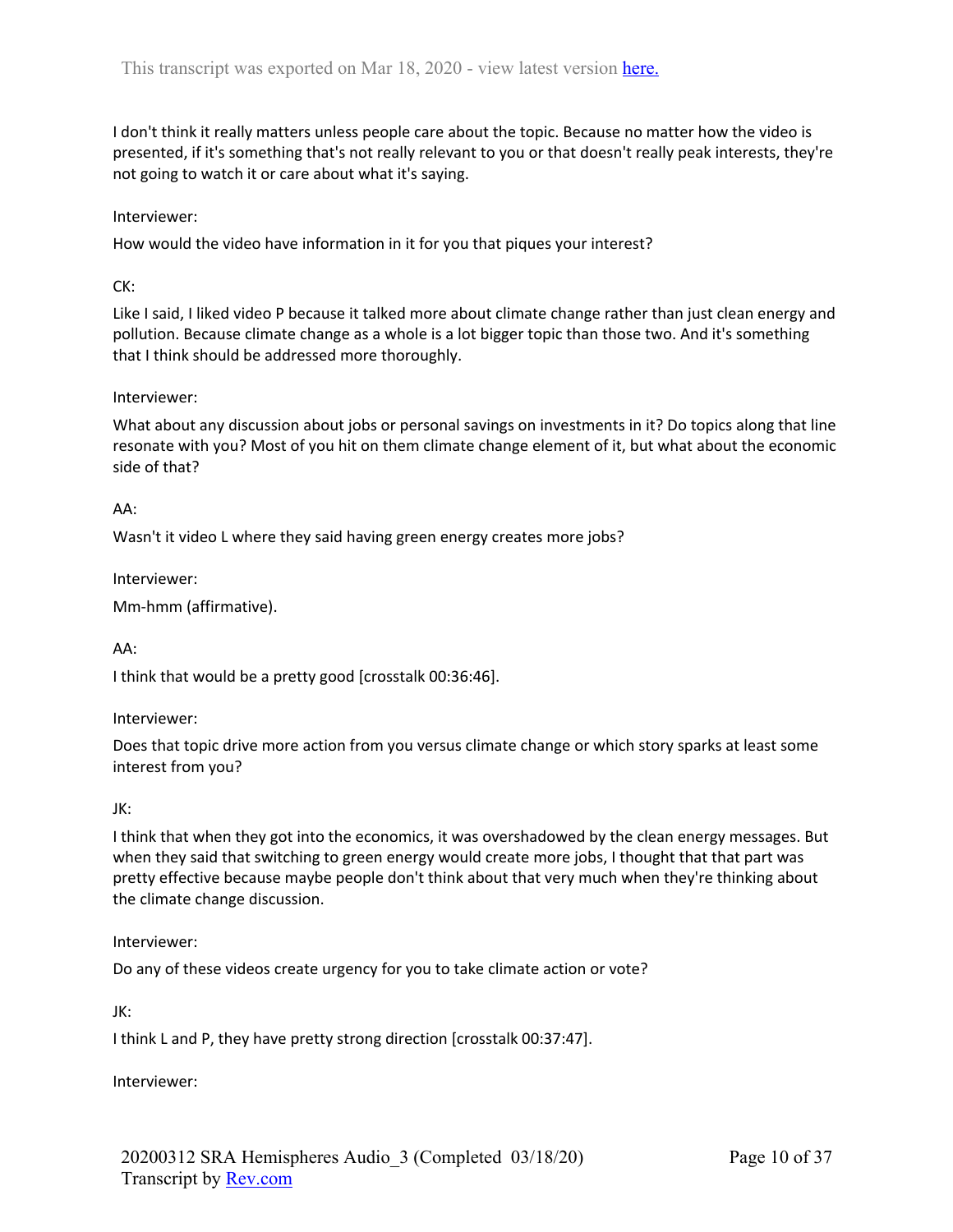I don't think it really matters unless people care about the topic. Because no matter how the video is presented, if it's something that's not really relevant to you or that doesn't really peak interests, they're not going to watch it or care about what it's saying.

### Interviewer:

How would the video have information in it for you that piques your interest?

### CK:

Like I said, I liked video P because it talked more about climate change rather than just clean energy and pollution. Because climate change as a whole is a lot bigger topic than those two. And it's something that I think should be addressed more thoroughly.

### Interviewer:

What about any discussion about jobs or personal savings on investments in it? Do topics along that line resonate with you? Most of you hit on them climate change element of it, but what about the economic side of that?

### AA:

Wasn't it video L where they said having green energy creates more jobs?

Interviewer:

Mm-hmm (affirmative).

## AA:

I think that would be a pretty good [crosstalk 00:36:46].

#### Interviewer:

Does that topic drive more action from you versus climate change or which story sparks at least some interest from you?

#### JK:

I think that when they got into the economics, it was overshadowed by the clean energy messages. But when they said that switching to green energy would create more jobs, I thought that that part was pretty effective because maybe people don't think about that very much when they're thinking about the climate change discussion.

#### Interviewer:

Do any of these videos create urgency for you to take climate action or vote?

JK:

I think L and P, they have pretty strong direction [crosstalk 00:37:47].

Interviewer: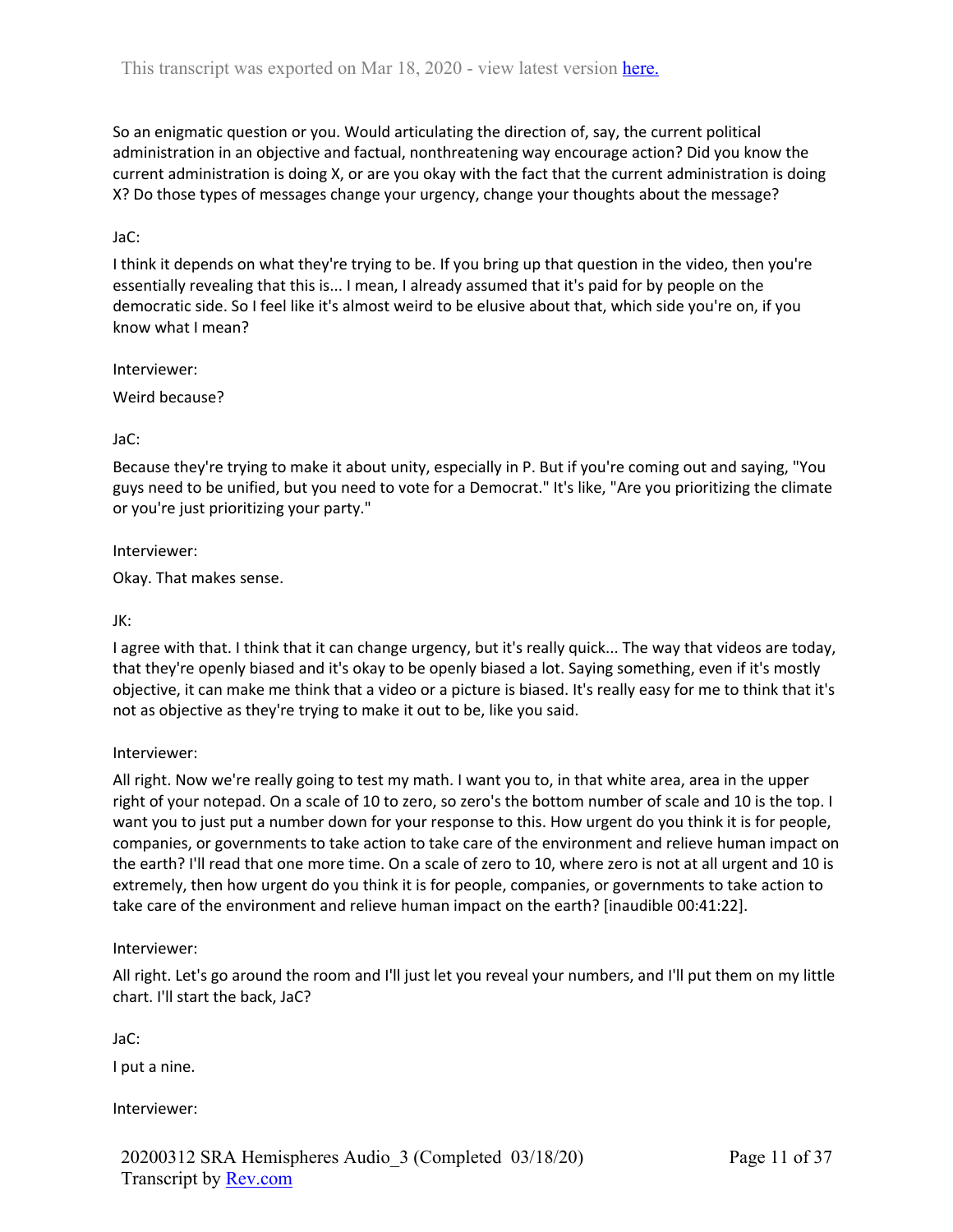So an enigmatic question or you. Would articulating the direction of, say, the current political administration in an objective and factual, nonthreatening way encourage action? Did you know the current administration is doing X, or are you okay with the fact that the current administration is doing X? Do those types of messages change your urgency, change your thoughts about the message?

### JaC:

I think it depends on what they're trying to be. If you bring up that question in the video, then you're essentially revealing that this is... I mean, I already assumed that it's paid for by people on the democratic side. So I feel like it's almost weird to be elusive about that, which side you're on, if you know what I mean?

#### Interviewer:

Weird because?

### JaC:

Because they're trying to make it about unity, especially in P. But if you're coming out and saying, "You guys need to be unified, but you need to vote for a Democrat." It's like, "Are you prioritizing the climate or you're just prioritizing your party."

#### Interviewer:

Okay. That makes sense.

### JK:

I agree with that. I think that it can change urgency, but it's really quick... The way that videos are today, that they're openly biased and it's okay to be openly biased a lot. Saying something, even if it's mostly objective, it can make me think that a video or a picture is biased. It's really easy for me to think that it's not as objective as they're trying to make it out to be, like you said.

#### Interviewer:

All right. Now we're really going to test my math. I want you to, in that white area, area in the upper right of your notepad. On a scale of 10 to zero, so zero's the bottom number of scale and 10 is the top. I want you to just put a number down for your response to this. How urgent do you think it is for people, companies, or governments to take action to take care of the environment and relieve human impact on the earth? I'll read that one more time. On a scale of zero to 10, where zero is not at all urgent and 10 is extremely, then how urgent do you think it is for people, companies, or governments to take action to take care of the environment and relieve human impact on the earth? [inaudible 00:41:22].

#### Interviewer:

All right. Let's go around the room and I'll just let you reveal your numbers, and I'll put them on my little chart. I'll start the back, JaC?

JaC:

I put a nine.

Interviewer: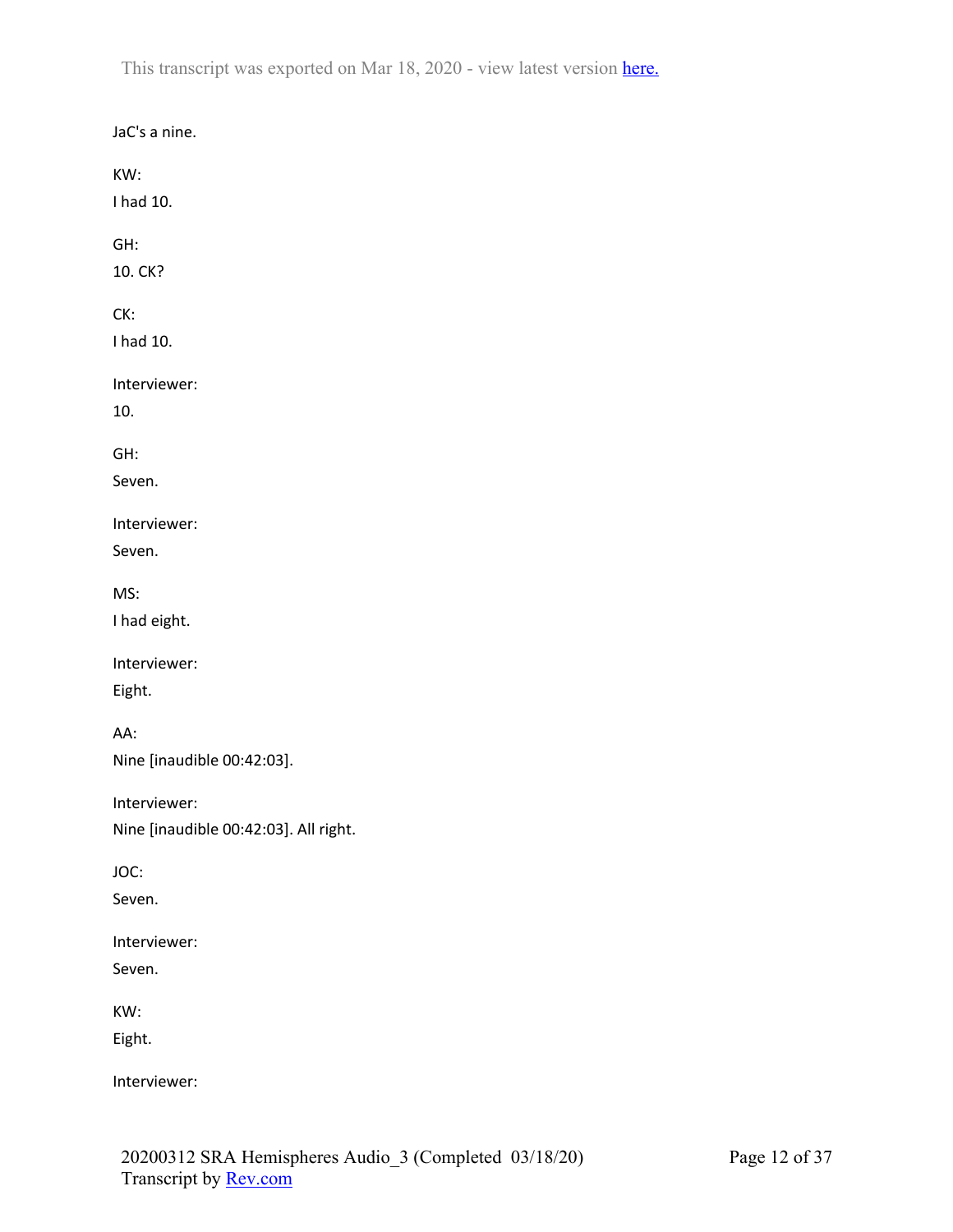JaC's a nine. KW: I had 10. GH: 10. CK? CK: I had 10. Interviewer: 10. GH: Seven. Interviewer: Seven. MS: I had eight. Interviewer: Eight. AA: Nine [inaudible 00:42:03]. Interviewer: Nine [inaudible 00:42:03]. All right. JOC: Seven. Interviewer: Seven. KW: Eight. Interviewer: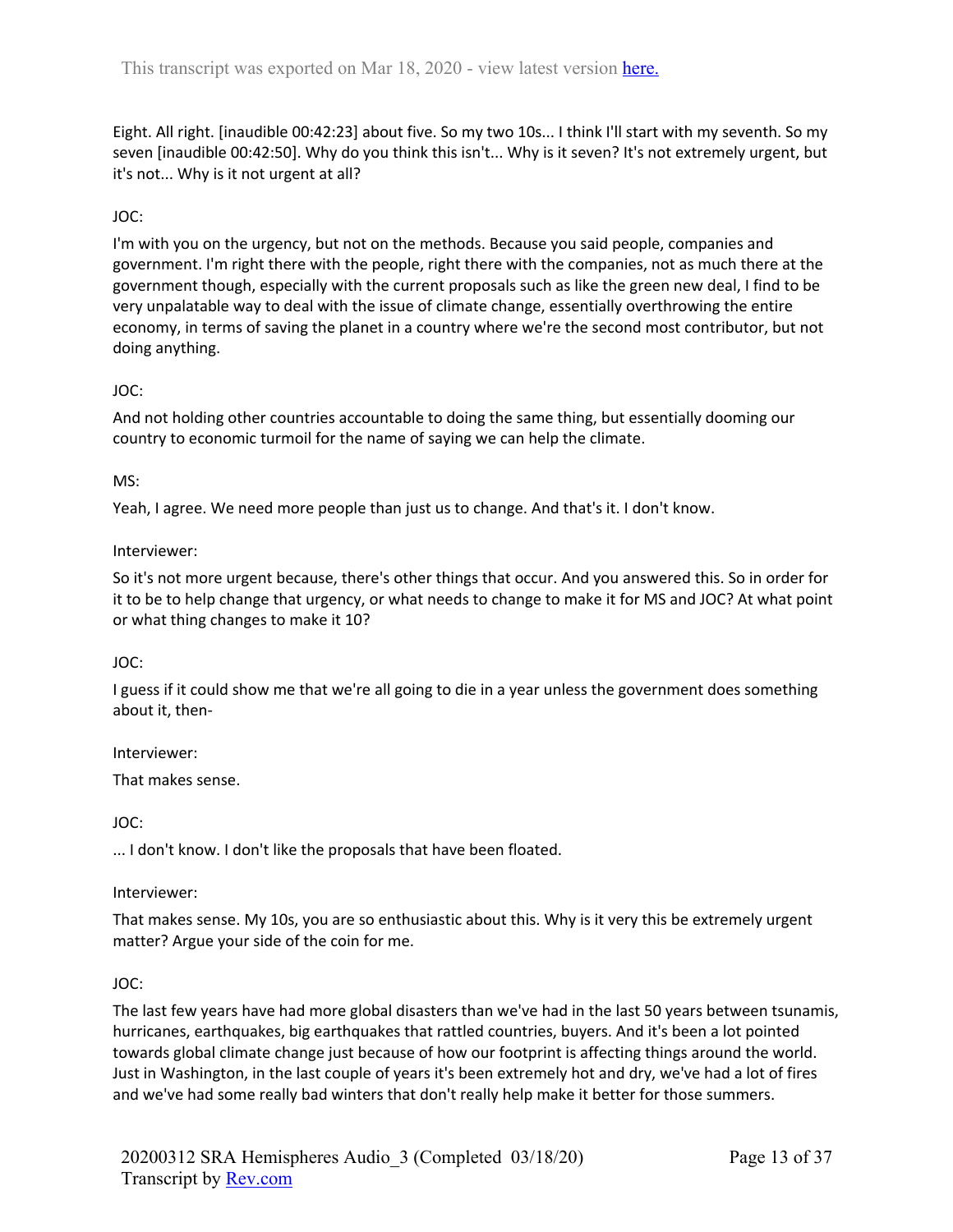Eight. All right. [inaudible 00:42:23] about five. So my two 10s... I think I'll start with my seventh. So my seven [inaudible 00:42:50]. Why do you think this isn't... Why is it seven? It's not extremely urgent, but it's not... Why is it not urgent at all?

# JOC:

I'm with you on the urgency, but not on the methods. Because you said people, companies and government. I'm right there with the people, right there with the companies, not as much there at the government though, especially with the current proposals such as like the green new deal, I find to be very unpalatable way to deal with the issue of climate change, essentially overthrowing the entire economy, in terms of saving the planet in a country where we're the second most contributor, but not doing anything.

## JOC:

And not holding other countries accountable to doing the same thing, but essentially dooming our country to economic turmoil for the name of saying we can help the climate.

## MS:

Yeah, I agree. We need more people than just us to change. And that's it. I don't know.

## Interviewer:

So it's not more urgent because, there's other things that occur. And you answered this. So in order for it to be to help change that urgency, or what needs to change to make it for MS and JOC? At what point or what thing changes to make it 10?

## JOC:

I guess if it could show me that we're all going to die in a year unless the government does something about it, then-

Interviewer:

That makes sense.

JOC:

... I don't know. I don't like the proposals that have been floated.

## Interviewer:

That makes sense. My 10s, you are so enthusiastic about this. Why is it very this be extremely urgent matter? Argue your side of the coin for me.

## JOC:

The last few years have had more global disasters than we've had in the last 50 years between tsunamis, hurricanes, earthquakes, big earthquakes that rattled countries, buyers. And it's been a lot pointed towards global climate change just because of how our footprint is affecting things around the world. Just in Washington, in the last couple of years it's been extremely hot and dry, we've had a lot of fires and we've had some really bad winters that don't really help make it better for those summers.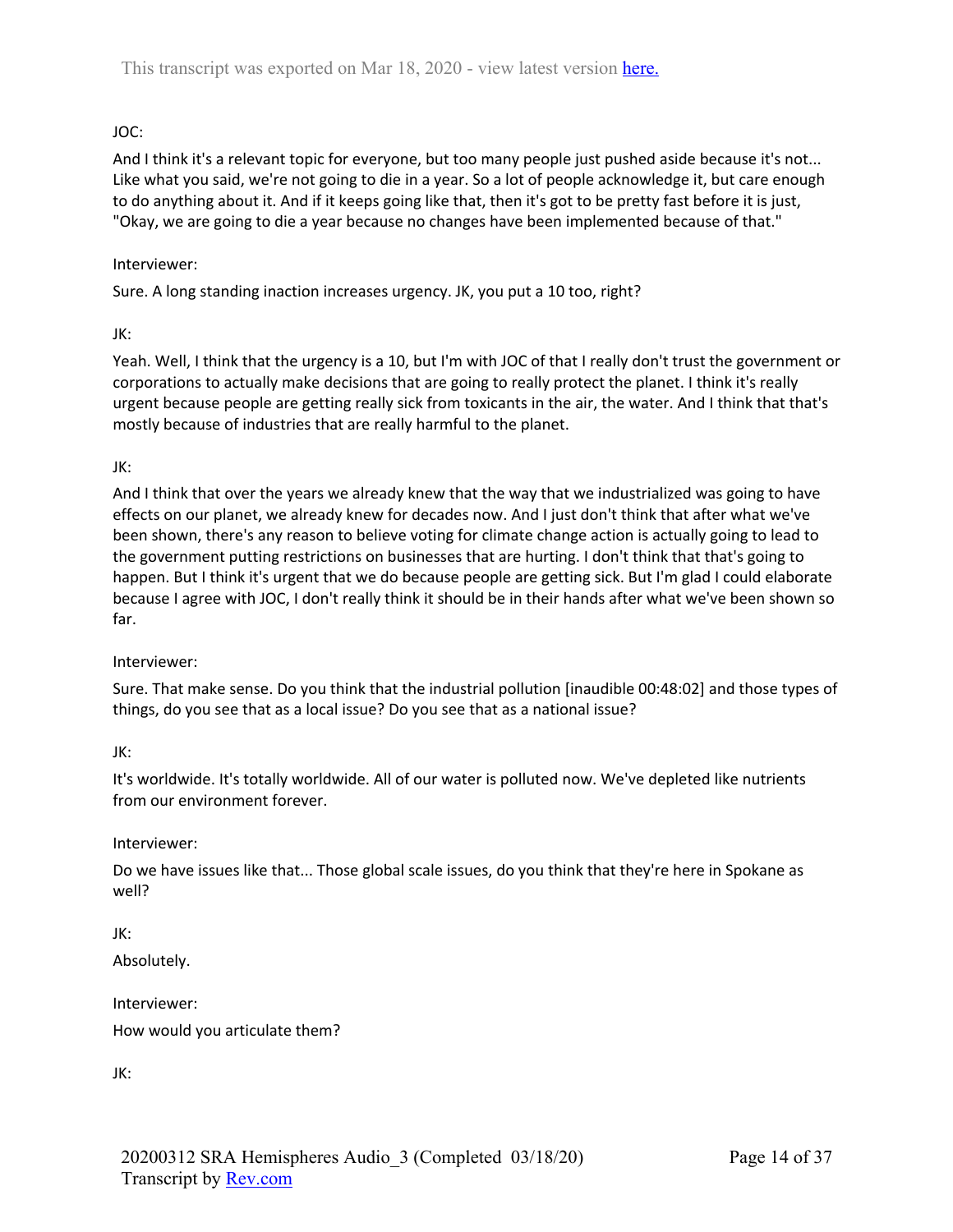# JOC:

And I think it's a relevant topic for everyone, but too many people just pushed aside because it's not... Like what you said, we're not going to die in a year. So a lot of people acknowledge it, but care enough to do anything about it. And if it keeps going like that, then it's got to be pretty fast before it is just, "Okay, we are going to die a year because no changes have been implemented because of that."

### Interviewer:

Sure. A long standing inaction increases urgency. JK, you put a 10 too, right?

JK:

Yeah. Well, I think that the urgency is a 10, but I'm with JOC of that I really don't trust the government or corporations to actually make decisions that are going to really protect the planet. I think it's really urgent because people are getting really sick from toxicants in the air, the water. And I think that that's mostly because of industries that are really harmful to the planet.

## JK:

And I think that over the years we already knew that the way that we industrialized was going to have effects on our planet, we already knew for decades now. And I just don't think that after what we've been shown, there's any reason to believe voting for climate change action is actually going to lead to the government putting restrictions on businesses that are hurting. I don't think that that's going to happen. But I think it's urgent that we do because people are getting sick. But I'm glad I could elaborate because I agree with JOC, I don't really think it should be in their hands after what we've been shown so far.

#### Interviewer:

Sure. That make sense. Do you think that the industrial pollution [inaudible 00:48:02] and those types of things, do you see that as a local issue? Do you see that as a national issue?

JK:

It's worldwide. It's totally worldwide. All of our water is polluted now. We've depleted like nutrients from our environment forever.

## Interviewer:

Do we have issues like that... Those global scale issues, do you think that they're here in Spokane as well?

JK: Absolutely.

Interviewer:

How would you articulate them?

JK: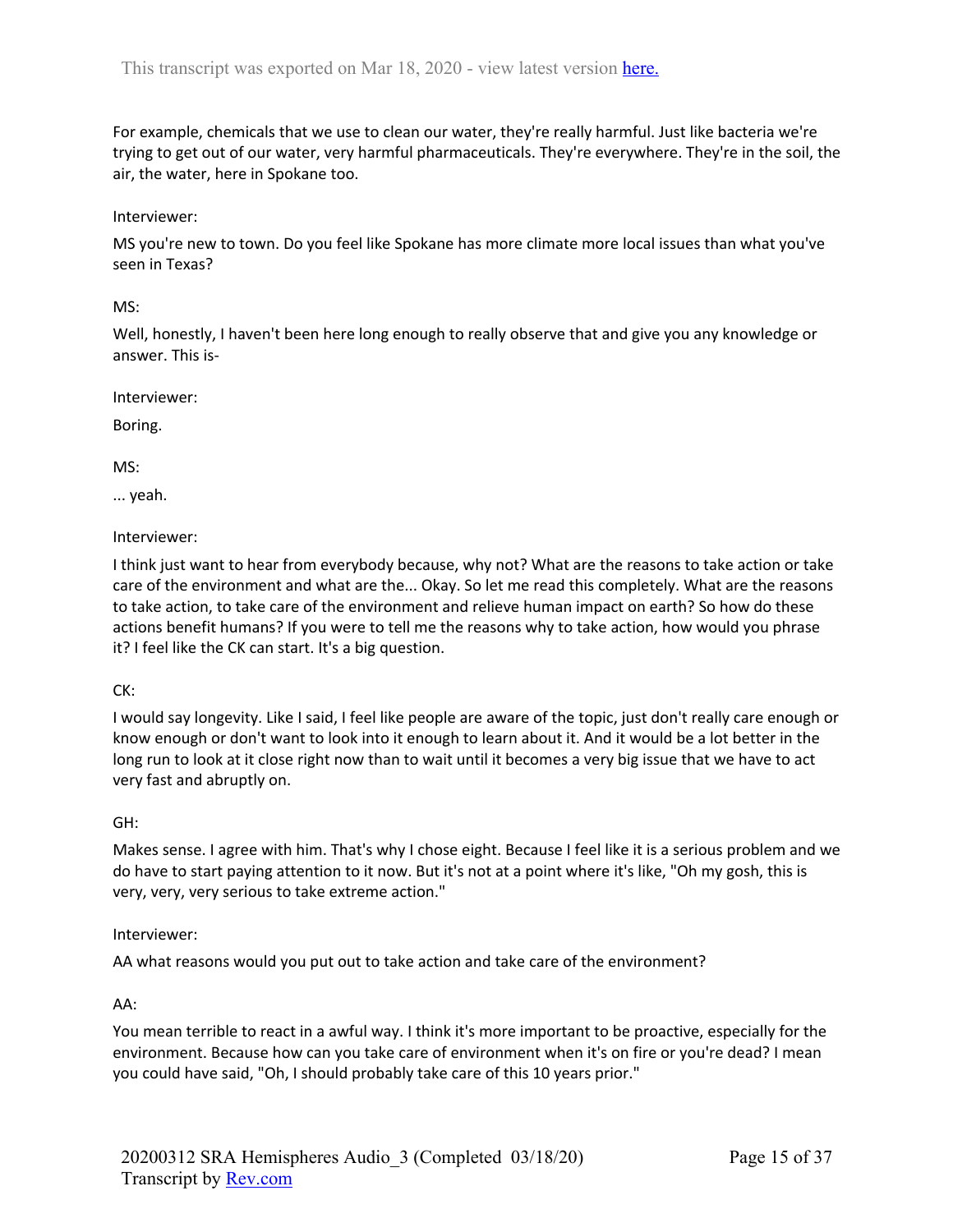For example, chemicals that we use to clean our water, they're really harmful. Just like bacteria we're trying to get out of our water, very harmful pharmaceuticals. They're everywhere. They're in the soil, the air, the water, here in Spokane too.

### Interviewer:

MS you're new to town. Do you feel like Spokane has more climate more local issues than what you've seen in Texas?

#### MS:

Well, honestly, I haven't been here long enough to really observe that and give you any knowledge or answer. This is-

Interviewer:

Boring.

MS:

... yeah.

Interviewer:

I think just want to hear from everybody because, why not? What are the reasons to take action or take care of the environment and what are the... Okay. So let me read this completely. What are the reasons to take action, to take care of the environment and relieve human impact on earth? So how do these actions benefit humans? If you were to tell me the reasons why to take action, how would you phrase it? I feel like the CK can start. It's a big question.

CK:

I would say longevity. Like I said, I feel like people are aware of the topic, just don't really care enough or know enough or don't want to look into it enough to learn about it. And it would be a lot better in the long run to look at it close right now than to wait until it becomes a very big issue that we have to act very fast and abruptly on.

## GH:

Makes sense. I agree with him. That's why I chose eight. Because I feel like it is a serious problem and we do have to start paying attention to it now. But it's not at a point where it's like, "Oh my gosh, this is very, very, very serious to take extreme action."

#### Interviewer:

AA what reasons would you put out to take action and take care of the environment?

AA:

You mean terrible to react in a awful way. I think it's more important to be proactive, especially for the environment. Because how can you take care of environment when it's on fire or you're dead? I mean you could have said, "Oh, I should probably take care of this 10 years prior."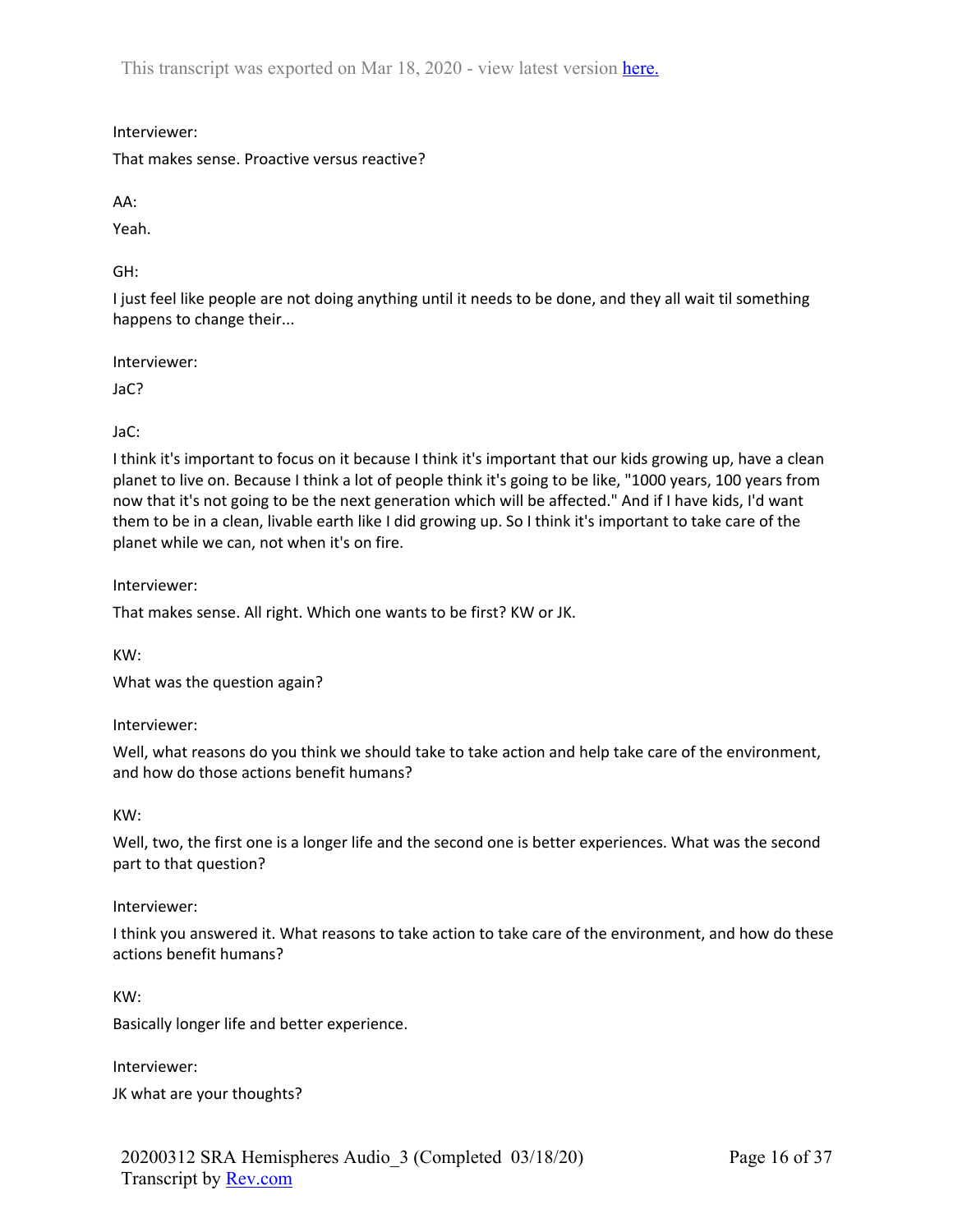Interviewer:

That makes sense. Proactive versus reactive?

AA:

Yeah.

GH:

I just feel like people are not doing anything until it needs to be done, and they all wait til something happens to change their...

Interviewer:

JaC?

JaC:

I think it's important to focus on it because I think it's important that our kids growing up, have a clean planet to live on. Because I think a lot of people think it's going to be like, "1000 years, 100 years from now that it's not going to be the next generation which will be affected." And if I have kids, I'd want them to be in a clean, livable earth like I did growing up. So I think it's important to take care of the planet while we can, not when it's on fire.

Interviewer:

That makes sense. All right. Which one wants to be first? KW or JK.

KW:

What was the question again?

Interviewer:

Well, what reasons do you think we should take to take action and help take care of the environment, and how do those actions benefit humans?

KW:

Well, two, the first one is a longer life and the second one is better experiences. What was the second part to that question?

Interviewer:

I think you answered it. What reasons to take action to take care of the environment, and how do these actions benefit humans?

KW:

Basically longer life and better experience.

Interviewer:

JK what are your thoughts?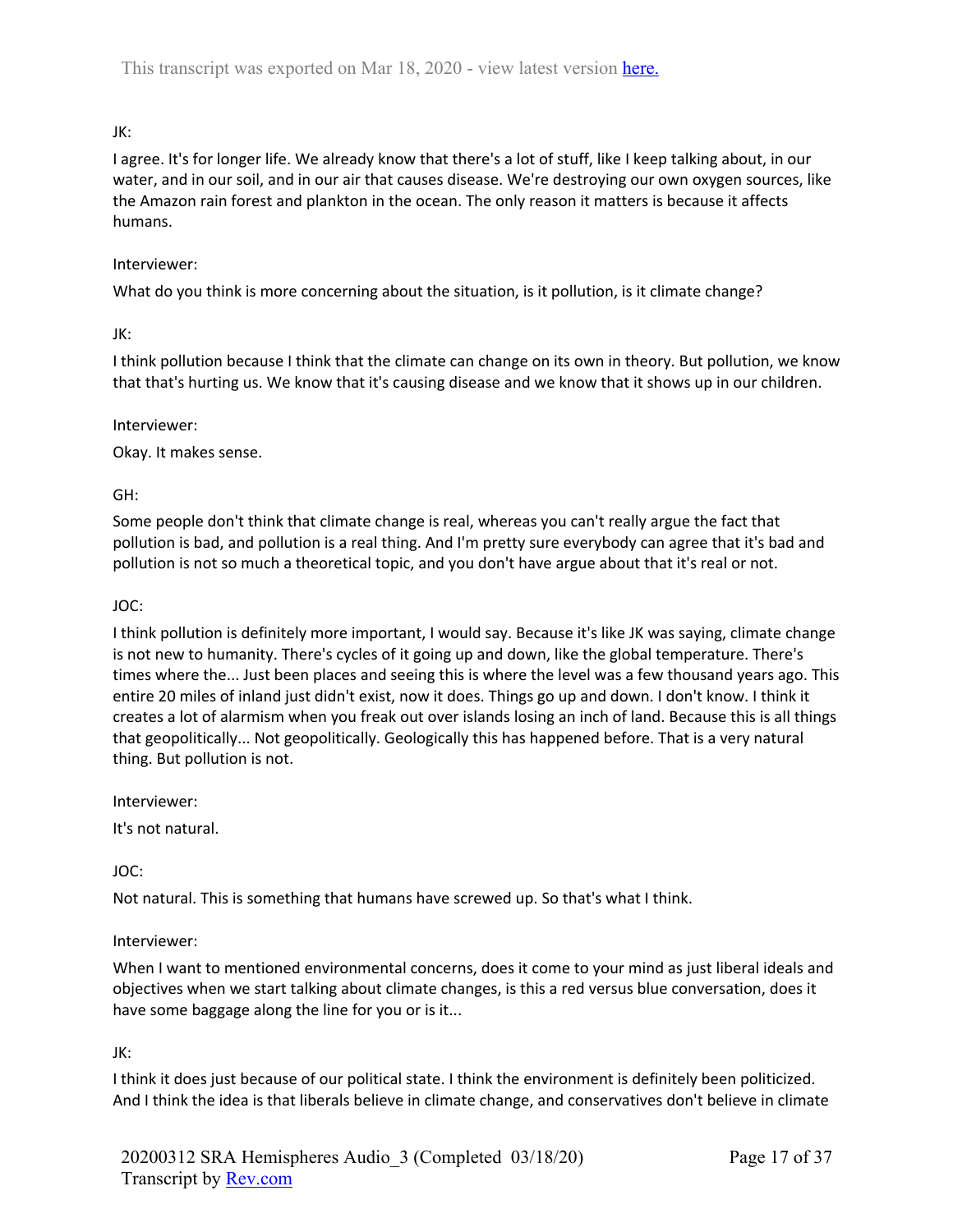# JK:

I agree. It's for longer life. We already know that there's a lot of stuff, like I keep talking about, in our water, and in our soil, and in our air that causes disease. We're destroying our own oxygen sources, like the Amazon rain forest and plankton in the ocean. The only reason it matters is because it affects humans.

### Interviewer:

What do you think is more concerning about the situation, is it pollution, is it climate change?

### JK:

I think pollution because I think that the climate can change on its own in theory. But pollution, we know that that's hurting us. We know that it's causing disease and we know that it shows up in our children.

#### Interviewer:

Okay. It makes sense.

### GH:

Some people don't think that climate change is real, whereas you can't really argue the fact that pollution is bad, and pollution is a real thing. And I'm pretty sure everybody can agree that it's bad and pollution is not so much a theoretical topic, and you don't have argue about that it's real or not.

### JOC:

I think pollution is definitely more important, I would say. Because it's like JK was saying, climate change is not new to humanity. There's cycles of it going up and down, like the global temperature. There's times where the... Just been places and seeing this is where the level was a few thousand years ago. This entire 20 miles of inland just didn't exist, now it does. Things go up and down. I don't know. I think it creates a lot of alarmism when you freak out over islands losing an inch of land. Because this is all things that geopolitically... Not geopolitically. Geologically this has happened before. That is a very natural thing. But pollution is not.

Interviewer:

It's not natural.

JOC:

Not natural. This is something that humans have screwed up. So that's what I think.

## Interviewer:

When I want to mentioned environmental concerns, does it come to your mind as just liberal ideals and objectives when we start talking about climate changes, is this a red versus blue conversation, does it have some baggage along the line for you or is it...

JK:

I think it does just because of our political state. I think the environment is definitely been politicized. And I think the idea is that liberals believe in climate change, and conservatives don't believe in climate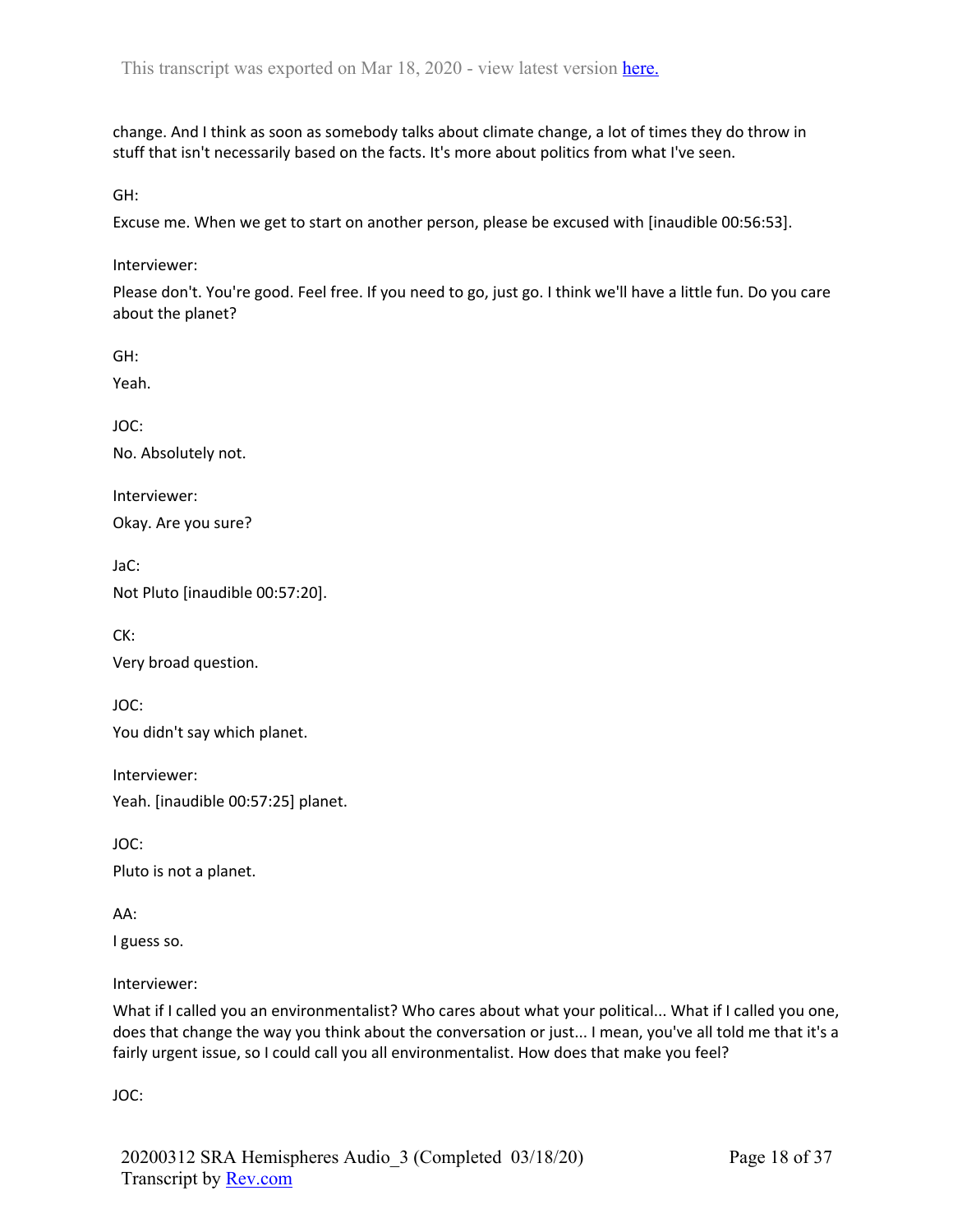change. And I think as soon as somebody talks about climate change, a lot of times they do throw in stuff that isn't necessarily based on the facts. It's more about politics from what I've seen.

GH:

Excuse me. When we get to start on another person, please be excused with [inaudible 00:56:53].

Interviewer:

Please don't. You're good. Feel free. If you need to go, just go. I think we'll have a little fun. Do you care about the planet?

GH:

Yeah.

JOC:

No. Absolutely not.

Interviewer:

Okay. Are you sure?

JaC:

Not Pluto [inaudible 00:57:20].

CK:

Very broad question.

JOC:

You didn't say which planet.

Interviewer: Yeah. [inaudible 00:57:25] planet.

JOC:

Pluto is not a planet.

AA:

I guess so.

Interviewer:

What if I called you an environmentalist? Who cares about what your political... What if I called you one, does that change the way you think about the conversation or just... I mean, you've all told me that it's a fairly urgent issue, so I could call you all environmentalist. How does that make you feel?

JOC: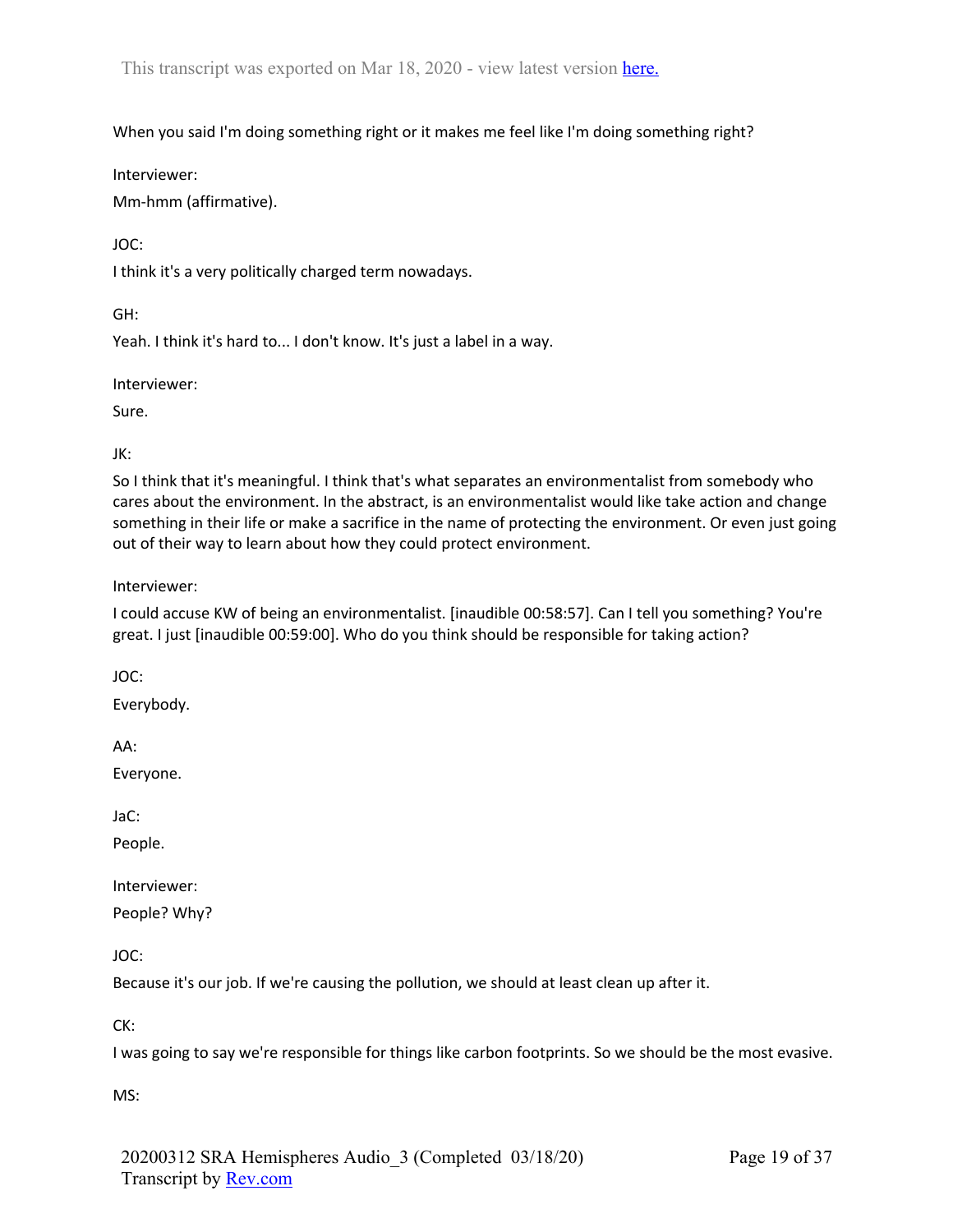When you said I'm doing something right or it makes me feel like I'm doing something right?

Interviewer:

Mm-hmm (affirmative).

JOC:

I think it's a very politically charged term nowadays.

GH:

Yeah. I think it's hard to... I don't know. It's just a label in a way.

Interviewer:

Sure.

JK:

So I think that it's meaningful. I think that's what separates an environmentalist from somebody who cares about the environment. In the abstract, is an environmentalist would like take action and change something in their life or make a sacrifice in the name of protecting the environment. Or even just going out of their way to learn about how they could protect environment.

Interviewer:

I could accuse KW of being an environmentalist. [inaudible 00:58:57]. Can I tell you something? You're great. I just [inaudible 00:59:00]. Who do you think should be responsible for taking action?

JOC:

Everybody.

AA:

Everyone.

JaC:

People.

Interviewer:

People? Why?

JOC:

Because it's our job. If we're causing the pollution, we should at least clean up after it.

CK:

I was going to say we're responsible for things like carbon footprints. So we should be the most evasive.

MS: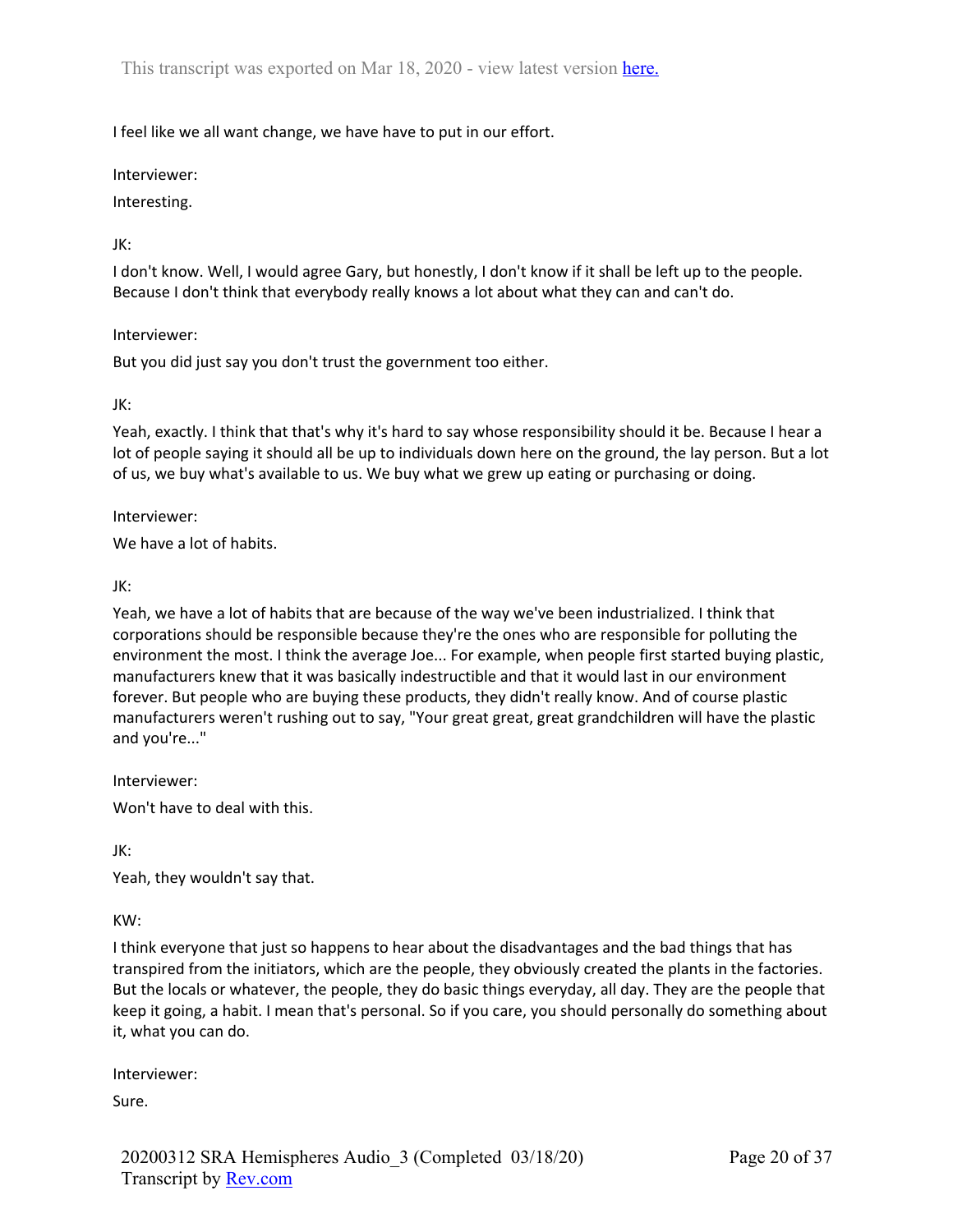I feel like we all want change, we have have to put in our effort.

Interviewer:

Interesting.

### JK:

I don't know. Well, I would agree Gary, but honestly, I don't know if it shall be left up to the people. Because I don't think that everybody really knows a lot about what they can and can't do.

### Interviewer:

But you did just say you don't trust the government too either.

### JK:

Yeah, exactly. I think that that's why it's hard to say whose responsibility should it be. Because I hear a lot of people saying it should all be up to individuals down here on the ground, the lay person. But a lot of us, we buy what's available to us. We buy what we grew up eating or purchasing or doing.

Interviewer:

We have a lot of habits.

JK:

Yeah, we have a lot of habits that are because of the way we've been industrialized. I think that corporations should be responsible because they're the ones who are responsible for polluting the environment the most. I think the average Joe... For example, when people first started buying plastic, manufacturers knew that it was basically indestructible and that it would last in our environment forever. But people who are buying these products, they didn't really know. And of course plastic manufacturers weren't rushing out to say, "Your great great, great grandchildren will have the plastic and you're..."

Interviewer:

Won't have to deal with this.

JK:

Yeah, they wouldn't say that.

KW:

I think everyone that just so happens to hear about the disadvantages and the bad things that has transpired from the initiators, which are the people, they obviously created the plants in the factories. But the locals or whatever, the people, they do basic things everyday, all day. They are the people that keep it going, a habit. I mean that's personal. So if you care, you should personally do something about it, what you can do.

Interviewer:

Sure.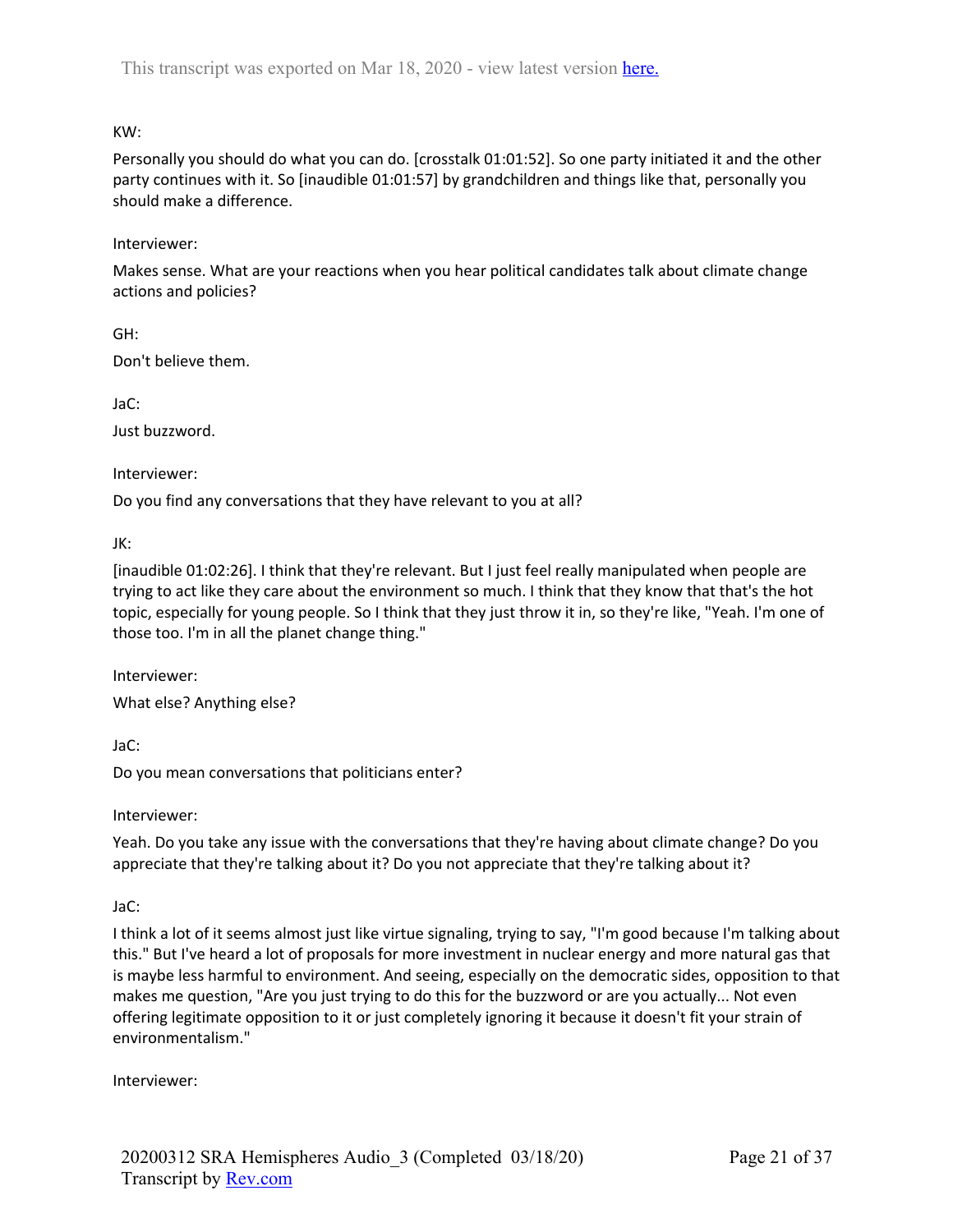# KW:

Personally you should do what you can do. [crosstalk 01:01:52]. So one party initiated it and the other party continues with it. So [inaudible 01:01:57] by grandchildren and things like that, personally you should make a difference.

# Interviewer:

Makes sense. What are your reactions when you hear political candidates talk about climate change actions and policies?

GH: Don't believe them.

JaC:

Just buzzword.

Interviewer:

Do you find any conversations that they have relevant to you at all?

JK:

[inaudible 01:02:26]. I think that they're relevant. But I just feel really manipulated when people are trying to act like they care about the environment so much. I think that they know that that's the hot topic, especially for young people. So I think that they just throw it in, so they're like, "Yeah. I'm one of those too. I'm in all the planet change thing."

Interviewer: What else? Anything else?

JaC:

Do you mean conversations that politicians enter?

Interviewer:

Yeah. Do you take any issue with the conversations that they're having about climate change? Do you appreciate that they're talking about it? Do you not appreciate that they're talking about it?

JaC:

I think a lot of it seems almost just like virtue signaling, trying to say, "I'm good because I'm talking about this." But I've heard a lot of proposals for more investment in nuclear energy and more natural gas that is maybe less harmful to environment. And seeing, especially on the democratic sides, opposition to that makes me question, "Are you just trying to do this for the buzzword or are you actually... Not even offering legitimate opposition to it or just completely ignoring it because it doesn't fit your strain of environmentalism."

Interviewer: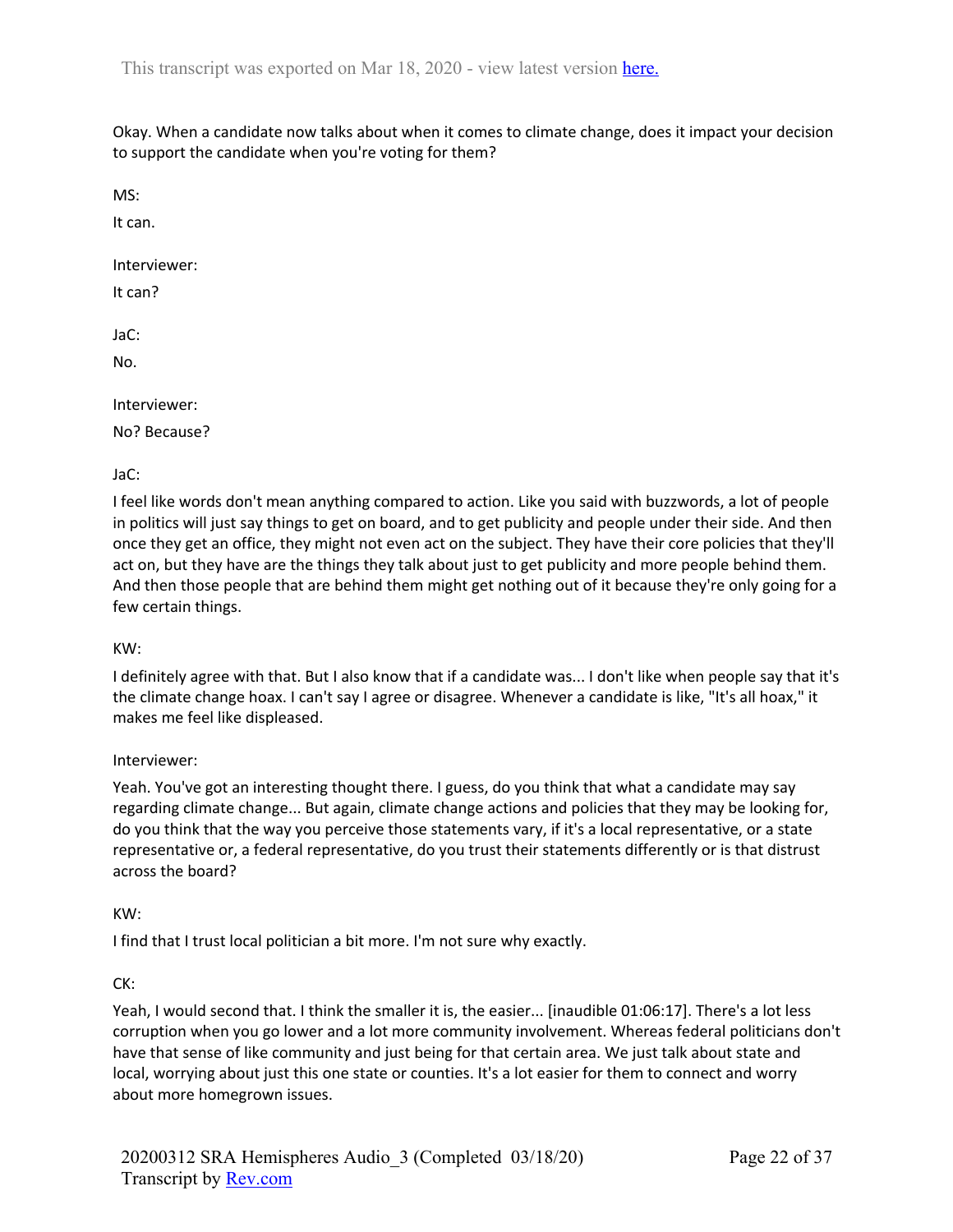Okay. When a candidate now talks about when it comes to climate change, does it impact your decision to support the candidate when you're voting for them?

MS:

It can.

Interviewer:

It can?

JaC:

No.

Interviewer:

No? Because?

### JaC:

I feel like words don't mean anything compared to action. Like you said with buzzwords, a lot of people in politics will just say things to get on board, and to get publicity and people under their side. And then once they get an office, they might not even act on the subject. They have their core policies that they'll act on, but they have are the things they talk about just to get publicity and more people behind them. And then those people that are behind them might get nothing out of it because they're only going for a few certain things.

#### KW:

I definitely agree with that. But I also know that if a candidate was... I don't like when people say that it's the climate change hoax. I can't say I agree or disagree. Whenever a candidate is like, "It's all hoax," it makes me feel like displeased.

#### Interviewer:

Yeah. You've got an interesting thought there. I guess, do you think that what a candidate may say regarding climate change... But again, climate change actions and policies that they may be looking for, do you think that the way you perceive those statements vary, if it's a local representative, or a state representative or, a federal representative, do you trust their statements differently or is that distrust across the board?

#### KW:

I find that I trust local politician a bit more. I'm not sure why exactly.

#### CK:

Yeah, I would second that. I think the smaller it is, the easier... [inaudible 01:06:17]. There's a lot less corruption when you go lower and a lot more community involvement. Whereas federal politicians don't have that sense of like community and just being for that certain area. We just talk about state and local, worrying about just this one state or counties. It's a lot easier for them to connect and worry about more homegrown issues.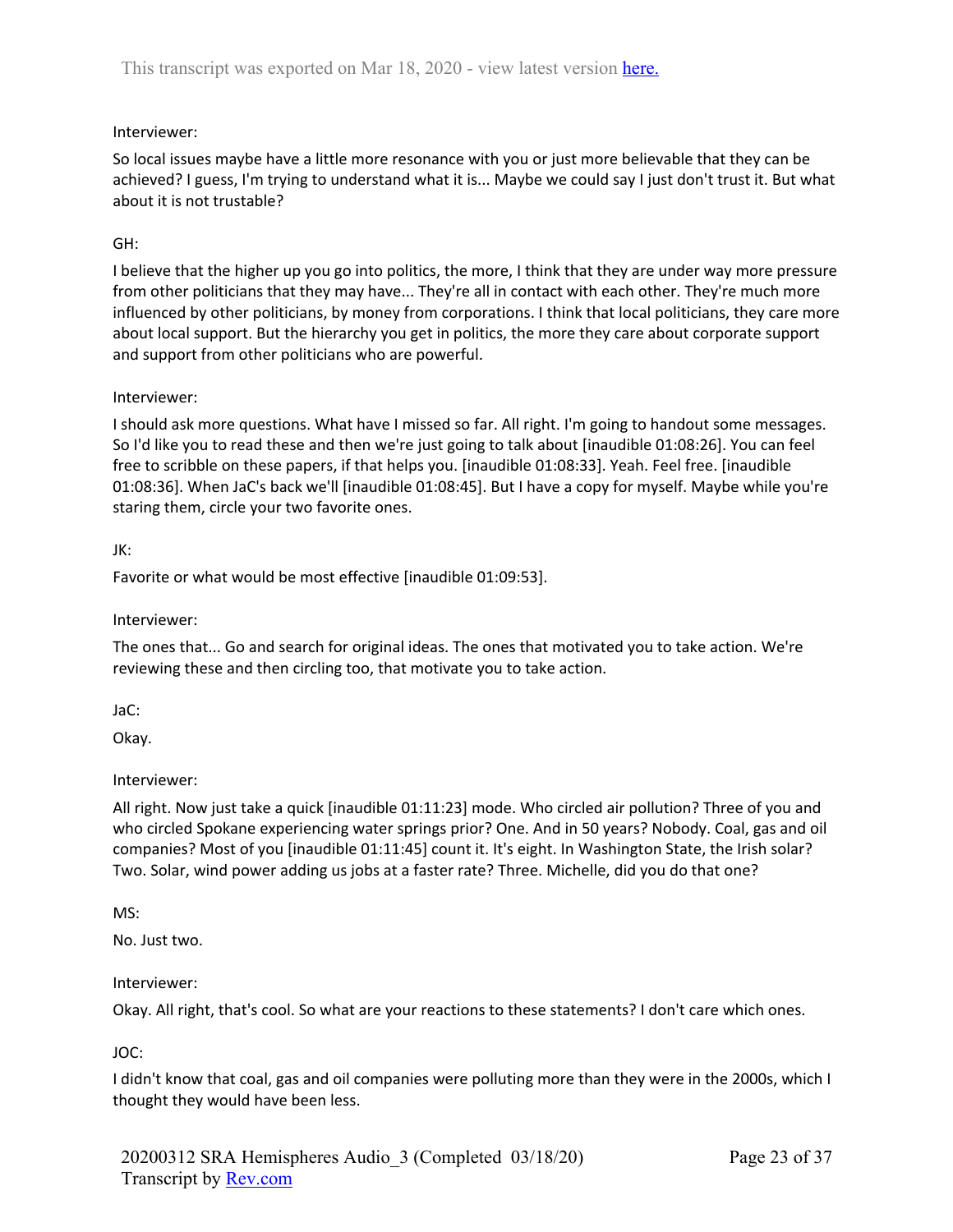# Interviewer:

So local issues maybe have a little more resonance with you or just more believable that they can be achieved? I guess, I'm trying to understand what it is... Maybe we could say I just don't trust it. But what about it is not trustable?

# GH:

I believe that the higher up you go into politics, the more, I think that they are under way more pressure from other politicians that they may have... They're all in contact with each other. They're much more influenced by other politicians, by money from corporations. I think that local politicians, they care more about local support. But the hierarchy you get in politics, the more they care about corporate support and support from other politicians who are powerful.

### Interviewer:

I should ask more questions. What have I missed so far. All right. I'm going to handout some messages. So I'd like you to read these and then we're just going to talk about [inaudible 01:08:26]. You can feel free to scribble on these papers, if that helps you. [inaudible 01:08:33]. Yeah. Feel free. [inaudible 01:08:36]. When JaC's back we'll [inaudible 01:08:45]. But I have a copy for myself. Maybe while you're staring them, circle your two favorite ones.

### JK:

Favorite or what would be most effective [inaudible 01:09:53].

### Interviewer:

The ones that... Go and search for original ideas. The ones that motivated you to take action. We're reviewing these and then circling too, that motivate you to take action.

JaC:

Okay.

## Interviewer:

All right. Now just take a quick [inaudible 01:11:23] mode. Who circled air pollution? Three of you and who circled Spokane experiencing water springs prior? One. And in 50 years? Nobody. Coal, gas and oil companies? Most of you [inaudible 01:11:45] count it. It's eight. In Washington State, the Irish solar? Two. Solar, wind power adding us jobs at a faster rate? Three. Michelle, did you do that one?

MS:

No. Just two.

#### Interviewer:

Okay. All right, that's cool. So what are your reactions to these statements? I don't care which ones.

## JOC:

I didn't know that coal, gas and oil companies were polluting more than they were in the 2000s, which I thought they would have been less.

20200312 SRA Hemispheres Audio\_3 (Completed 03/18/20) Transcript by Rev.com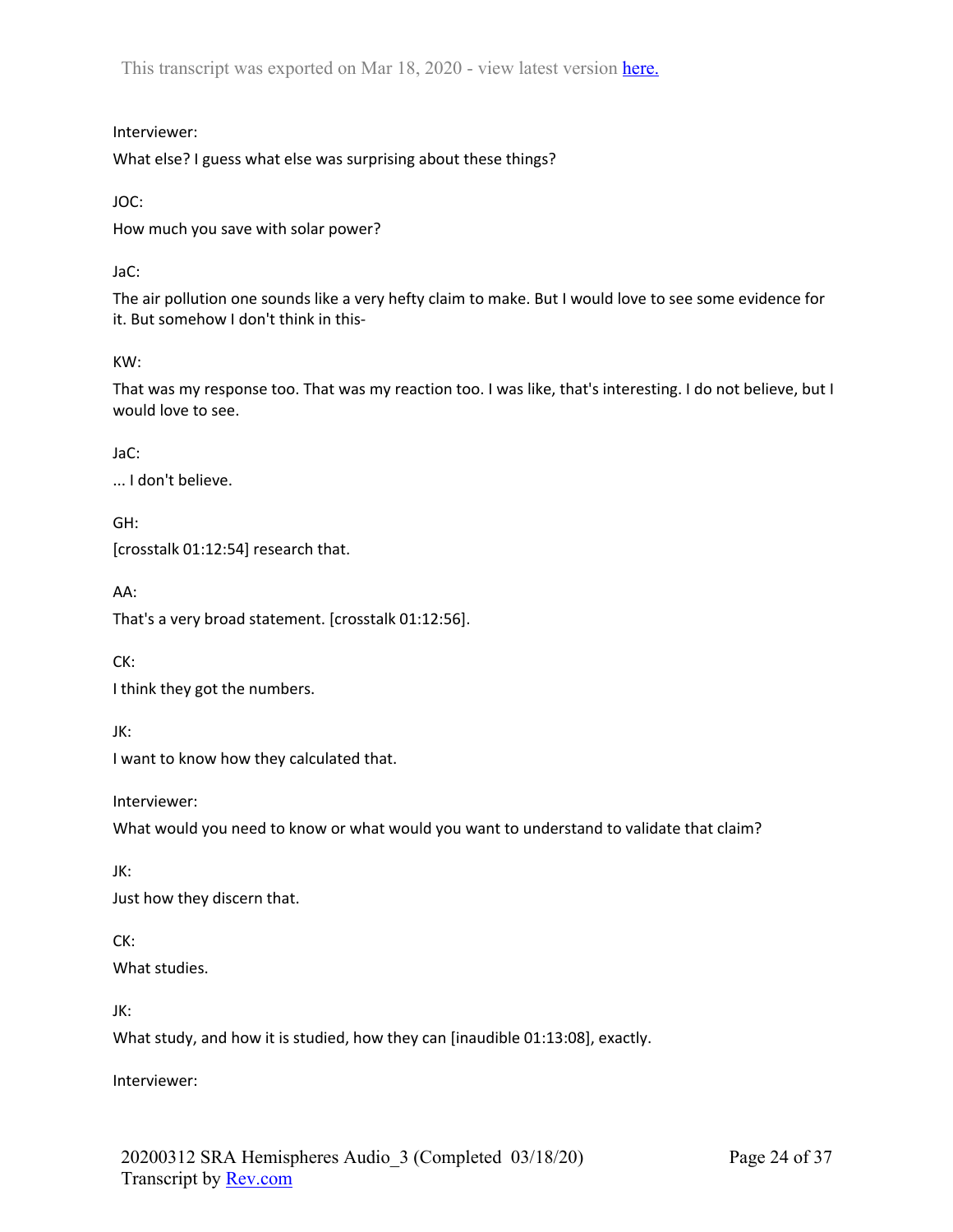Interviewer:

What else? I guess what else was surprising about these things?

JOC:

How much you save with solar power?

JaC:

The air pollution one sounds like a very hefty claim to make. But I would love to see some evidence for it. But somehow I don't think in this-

KW:

That was my response too. That was my reaction too. I was like, that's interesting. I do not believe, but I would love to see.

JaC:

... I don't believe.

GH: [crosstalk 01:12:54] research that.

AA:

That's a very broad statement. [crosstalk 01:12:56].

CK:

I think they got the numbers.

JK:

I want to know how they calculated that.

Interviewer:

What would you need to know or what would you want to understand to validate that claim?

JK:

Just how they discern that.

CK:

What studies.

JK:

What study, and how it is studied, how they can [inaudible 01:13:08], exactly.

Interviewer: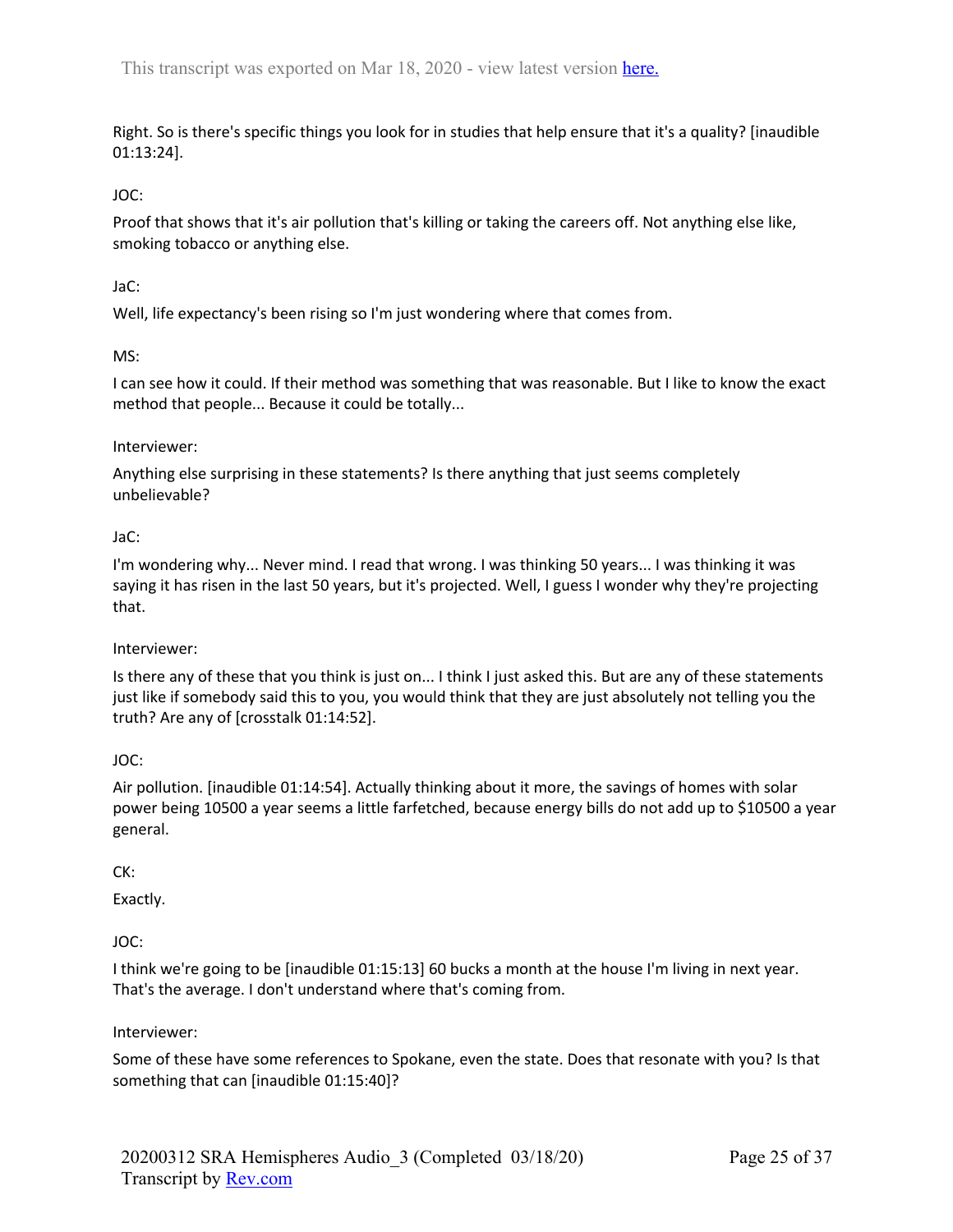Right. So is there's specific things you look for in studies that help ensure that it's a quality? [inaudible 01:13:24].

# JOC:

Proof that shows that it's air pollution that's killing or taking the careers off. Not anything else like, smoking tobacco or anything else.

## JaC:

Well, life expectancy's been rising so I'm just wondering where that comes from.

### MS:

I can see how it could. If their method was something that was reasonable. But I like to know the exact method that people... Because it could be totally...

#### Interviewer:

Anything else surprising in these statements? Is there anything that just seems completely unbelievable?

### JaC:

I'm wondering why... Never mind. I read that wrong. I was thinking 50 years... I was thinking it was saying it has risen in the last 50 years, but it's projected. Well, I guess I wonder why they're projecting that.

#### Interviewer:

Is there any of these that you think is just on... I think I just asked this. But are any of these statements just like if somebody said this to you, you would think that they are just absolutely not telling you the truth? Are any of [crosstalk 01:14:52].

## JOC:

Air pollution. [inaudible 01:14:54]. Actually thinking about it more, the savings of homes with solar power being 10500 a year seems a little farfetched, because energy bills do not add up to \$10500 a year general.

## CK:

Exactly.

## JOC:

I think we're going to be [inaudible 01:15:13] 60 bucks a month at the house I'm living in next year. That's the average. I don't understand where that's coming from.

#### Interviewer:

Some of these have some references to Spokane, even the state. Does that resonate with you? Is that something that can [inaudible 01:15:40]?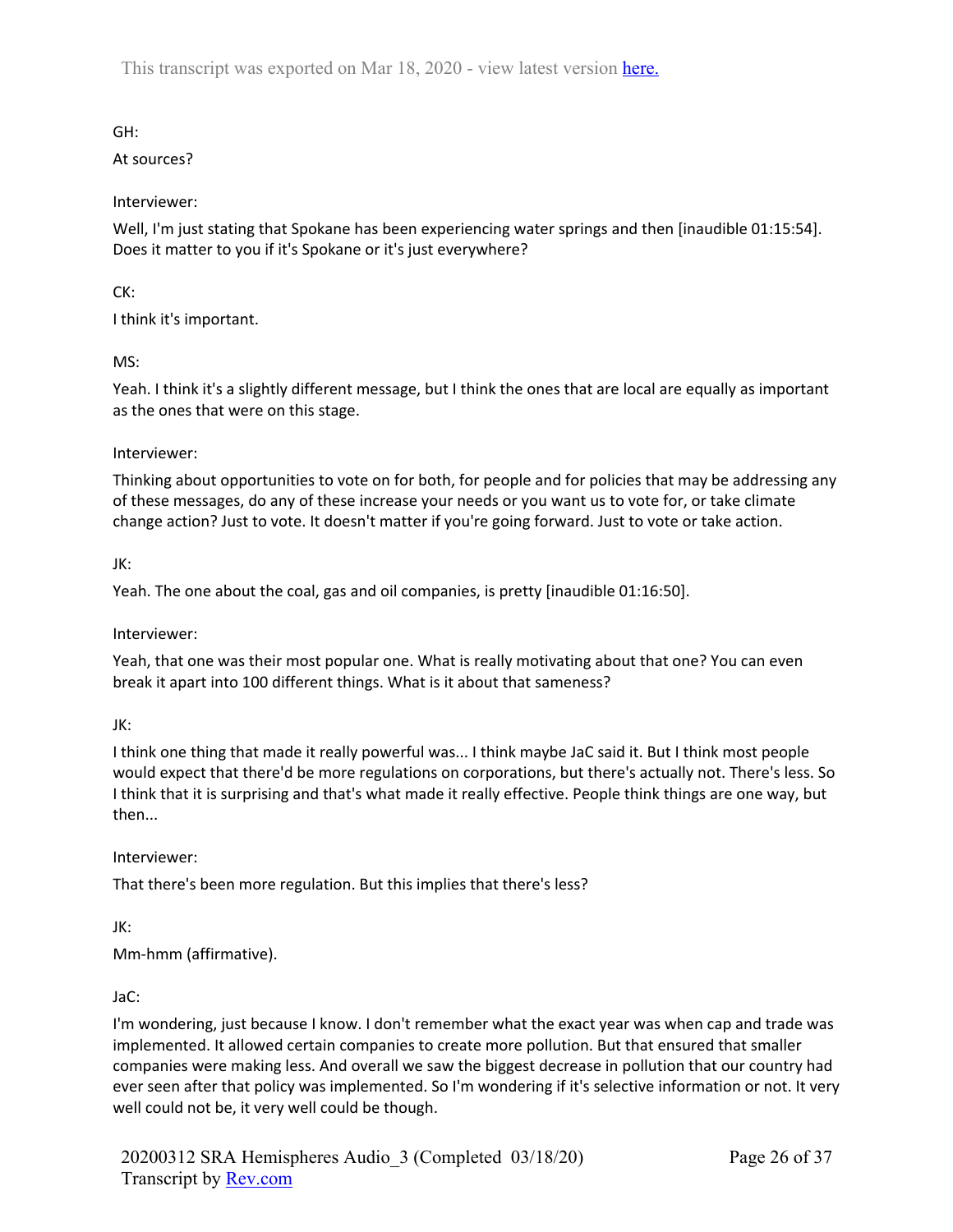GH:

At sources?

Interviewer:

Well, I'm just stating that Spokane has been experiencing water springs and then [inaudible 01:15:54]. Does it matter to you if it's Spokane or it's just everywhere?

CK:

I think it's important.

MS:

Yeah. I think it's a slightly different message, but I think the ones that are local are equally as important as the ones that were on this stage.

### Interviewer:

Thinking about opportunities to vote on for both, for people and for policies that may be addressing any of these messages, do any of these increase your needs or you want us to vote for, or take climate change action? Just to vote. It doesn't matter if you're going forward. Just to vote or take action.

### JK:

Yeah. The one about the coal, gas and oil companies, is pretty [inaudible 01:16:50].

Interviewer:

Yeah, that one was their most popular one. What is really motivating about that one? You can even break it apart into 100 different things. What is it about that sameness?

JK:

I think one thing that made it really powerful was... I think maybe JaC said it. But I think most people would expect that there'd be more regulations on corporations, but there's actually not. There's less. So I think that it is surprising and that's what made it really effective. People think things are one way, but then...

Interviewer:

That there's been more regulation. But this implies that there's less?

JK:

Mm-hmm (affirmative).

#### JaC:

I'm wondering, just because I know. I don't remember what the exact year was when cap and trade was implemented. It allowed certain companies to create more pollution. But that ensured that smaller companies were making less. And overall we saw the biggest decrease in pollution that our country had ever seen after that policy was implemented. So I'm wondering if it's selective information or not. It very well could not be, it very well could be though.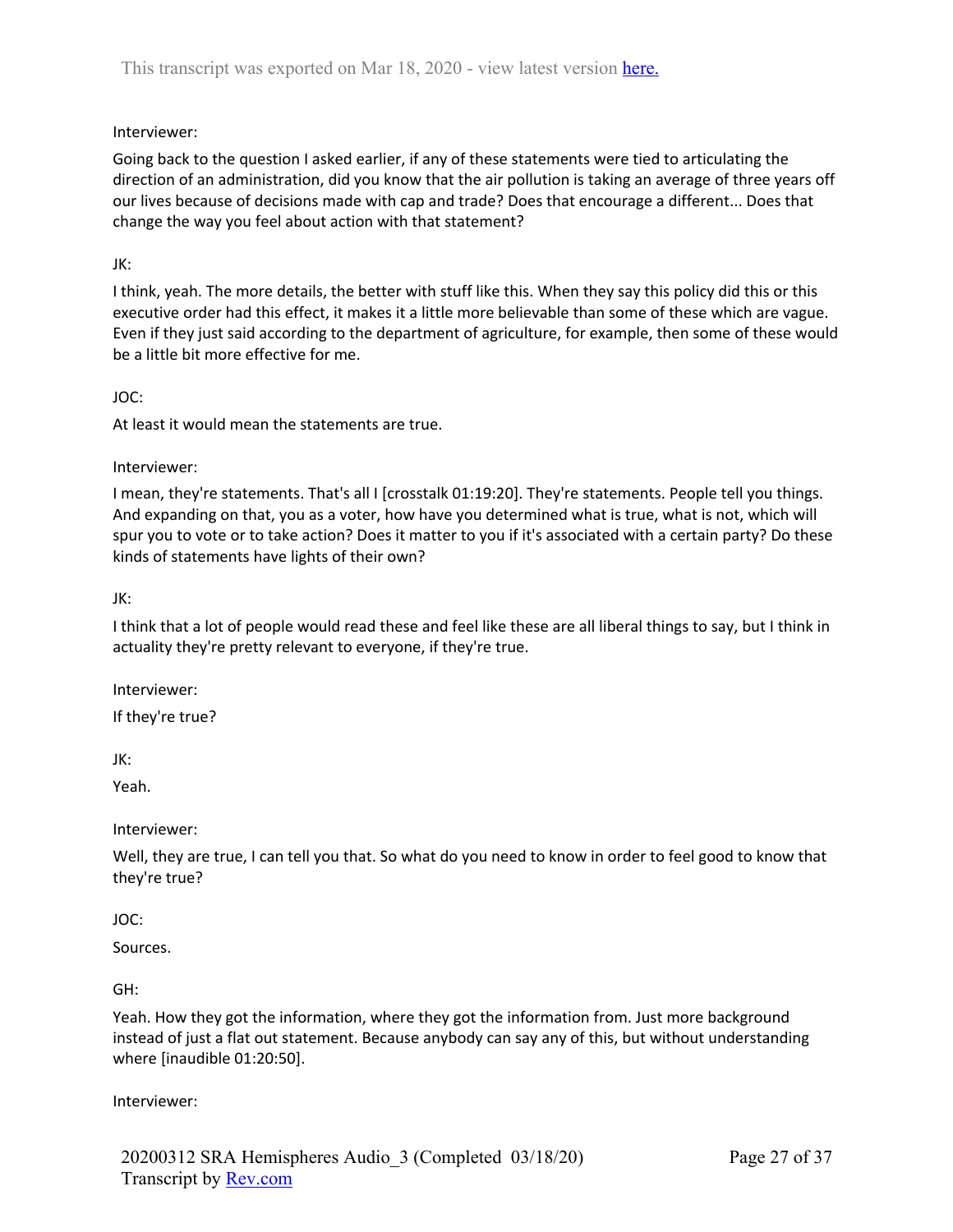# Interviewer:

Going back to the question I asked earlier, if any of these statements were tied to articulating the direction of an administration, did you know that the air pollution is taking an average of three years off our lives because of decisions made with cap and trade? Does that encourage a different... Does that change the way you feel about action with that statement?

## JK:

I think, yeah. The more details, the better with stuff like this. When they say this policy did this or this executive order had this effect, it makes it a little more believable than some of these which are vague. Even if they just said according to the department of agriculture, for example, then some of these would be a little bit more effective for me.

## JOC:

At least it would mean the statements are true.

# Interviewer:

I mean, they're statements. That's all I [crosstalk 01:19:20]. They're statements. People tell you things. And expanding on that, you as a voter, how have you determined what is true, what is not, which will spur you to vote or to take action? Does it matter to you if it's associated with a certain party? Do these kinds of statements have lights of their own?

# JK:

I think that a lot of people would read these and feel like these are all liberal things to say, but I think in actuality they're pretty relevant to everyone, if they're true.

Interviewer:

If they're true?

JK:

Yeah.

## Interviewer:

Well, they are true, I can tell you that. So what do you need to know in order to feel good to know that they're true?

## JOC:

Sources.

## GH:

Yeah. How they got the information, where they got the information from. Just more background instead of just a flat out statement. Because anybody can say any of this, but without understanding where [inaudible 01:20:50].

## Interviewer: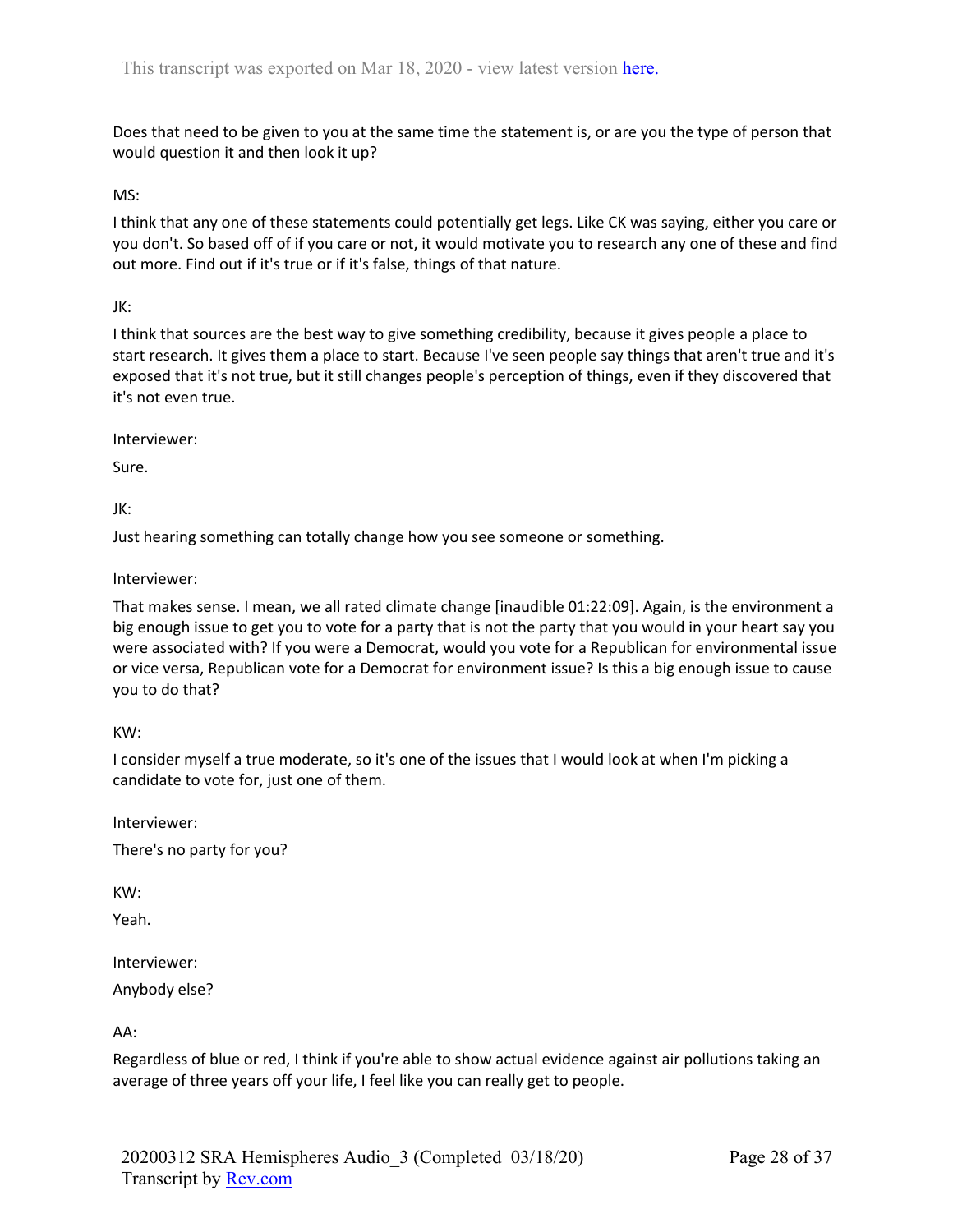Does that need to be given to you at the same time the statement is, or are you the type of person that would question it and then look it up?

MS:

I think that any one of these statements could potentially get legs. Like CK was saying, either you care or you don't. So based off of if you care or not, it would motivate you to research any one of these and find out more. Find out if it's true or if it's false, things of that nature.

JK:

I think that sources are the best way to give something credibility, because it gives people a place to start research. It gives them a place to start. Because I've seen people say things that aren't true and it's exposed that it's not true, but it still changes people's perception of things, even if they discovered that it's not even true.

Interviewer:

Sure.

JK:

Just hearing something can totally change how you see someone or something.

Interviewer:

That makes sense. I mean, we all rated climate change [inaudible 01:22:09]. Again, is the environment a big enough issue to get you to vote for a party that is not the party that you would in your heart say you were associated with? If you were a Democrat, would you vote for a Republican for environmental issue or vice versa, Republican vote for a Democrat for environment issue? Is this a big enough issue to cause you to do that?

KW:

I consider myself a true moderate, so it's one of the issues that I would look at when I'm picking a candidate to vote for, just one of them.

Interviewer: There's no party for you?

KW:

Yeah.

Interviewer: Anybody else?

AA:

Regardless of blue or red, I think if you're able to show actual evidence against air pollutions taking an average of three years off your life, I feel like you can really get to people.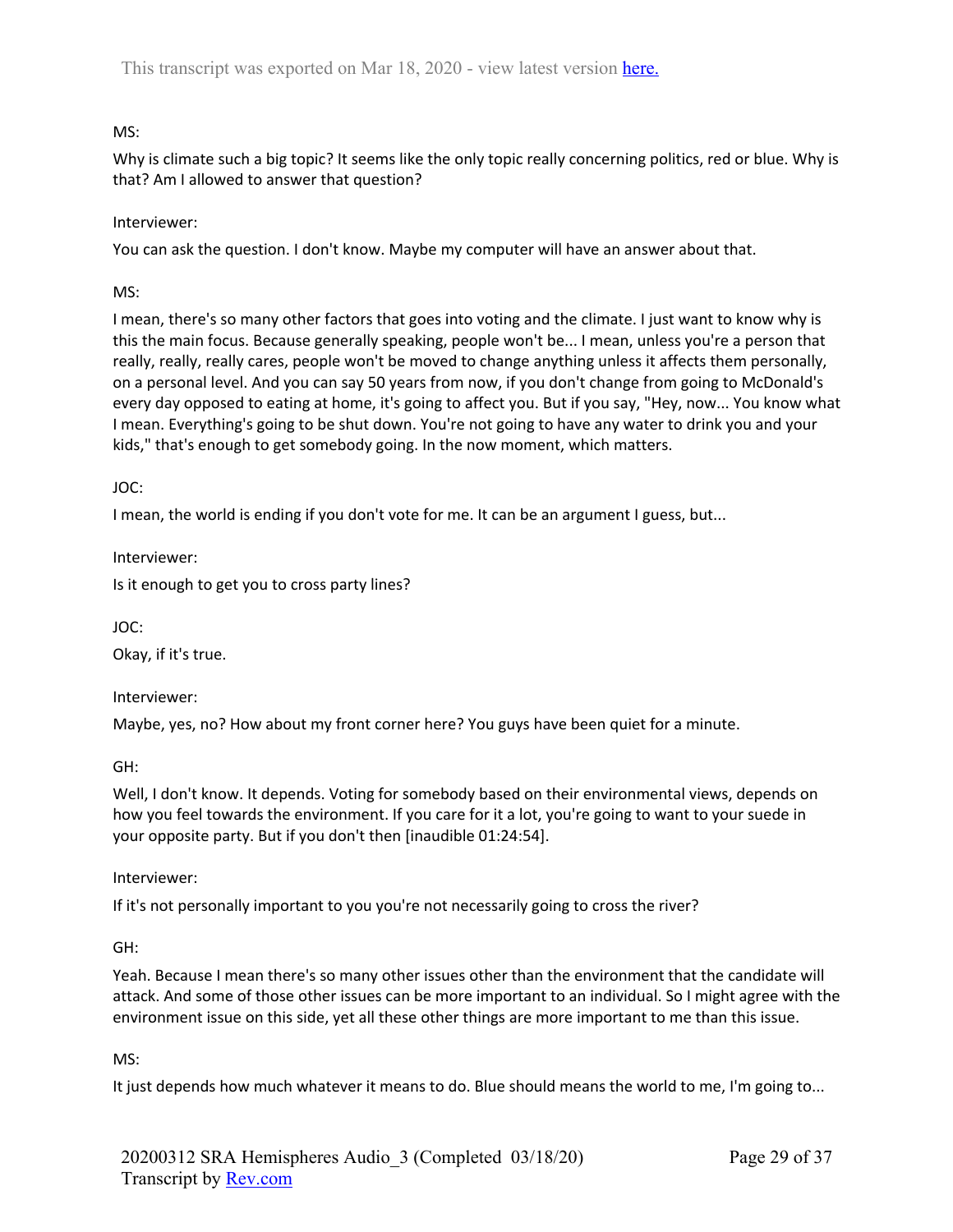# MS:

Why is climate such a big topic? It seems like the only topic really concerning politics, red or blue. Why is that? Am I allowed to answer that question?

## Interviewer:

You can ask the question. I don't know. Maybe my computer will have an answer about that.

MS:

I mean, there's so many other factors that goes into voting and the climate. I just want to know why is this the main focus. Because generally speaking, people won't be... I mean, unless you're a person that really, really, really cares, people won't be moved to change anything unless it affects them personally, on a personal level. And you can say 50 years from now, if you don't change from going to McDonald's every day opposed to eating at home, it's going to affect you. But if you say, "Hey, now... You know what I mean. Everything's going to be shut down. You're not going to have any water to drink you and your kids," that's enough to get somebody going. In the now moment, which matters.

JOC:

I mean, the world is ending if you don't vote for me. It can be an argument I guess, but...

Interviewer:

Is it enough to get you to cross party lines?

JOC:

Okay, if it's true.

Interviewer:

Maybe, yes, no? How about my front corner here? You guys have been quiet for a minute.

GH:

Well, I don't know. It depends. Voting for somebody based on their environmental views, depends on how you feel towards the environment. If you care for it a lot, you're going to want to your suede in your opposite party. But if you don't then [inaudible 01:24:54].

Interviewer:

If it's not personally important to you you're not necessarily going to cross the river?

GH:

Yeah. Because I mean there's so many other issues other than the environment that the candidate will attack. And some of those other issues can be more important to an individual. So I might agree with the environment issue on this side, yet all these other things are more important to me than this issue.

MS:

It just depends how much whatever it means to do. Blue should means the world to me, I'm going to...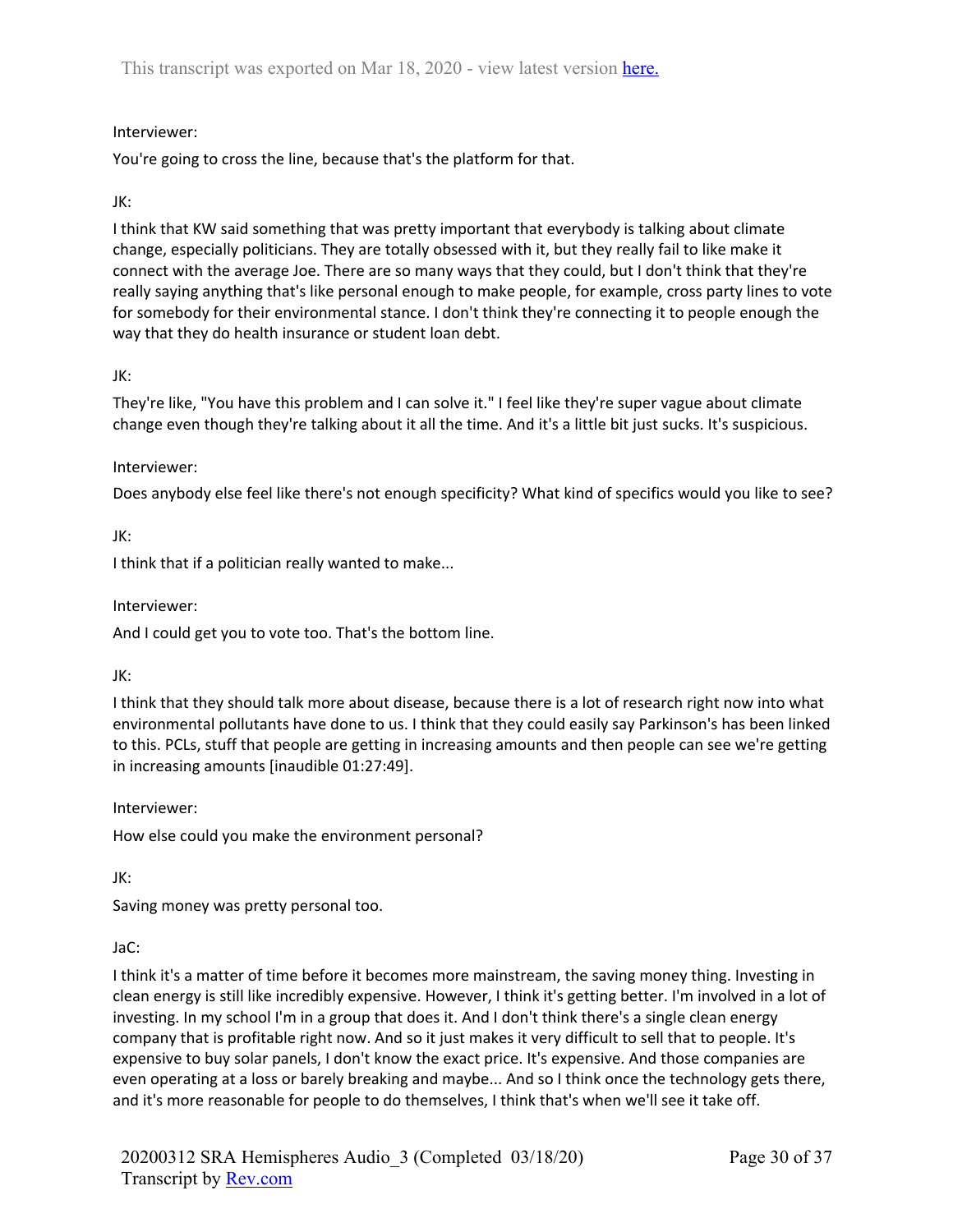## Interviewer:

You're going to cross the line, because that's the platform for that.

### JK:

I think that KW said something that was pretty important that everybody is talking about climate change, especially politicians. They are totally obsessed with it, but they really fail to like make it connect with the average Joe. There are so many ways that they could, but I don't think that they're really saying anything that's like personal enough to make people, for example, cross party lines to vote for somebody for their environmental stance. I don't think they're connecting it to people enough the way that they do health insurance or student loan debt.

### JK:

They're like, "You have this problem and I can solve it." I feel like they're super vague about climate change even though they're talking about it all the time. And it's a little bit just sucks. It's suspicious.

### Interviewer:

Does anybody else feel like there's not enough specificity? What kind of specifics would you like to see?

JK:

I think that if a politician really wanted to make...

Interviewer:

And I could get you to vote too. That's the bottom line.

JK:

I think that they should talk more about disease, because there is a lot of research right now into what environmental pollutants have done to us. I think that they could easily say Parkinson's has been linked to this. PCLs, stuff that people are getting in increasing amounts and then people can see we're getting in increasing amounts [inaudible 01:27:49].

Interviewer:

How else could you make the environment personal?

JK:

Saving money was pretty personal too.

#### JaC:

I think it's a matter of time before it becomes more mainstream, the saving money thing. Investing in clean energy is still like incredibly expensive. However, I think it's getting better. I'm involved in a lot of investing. In my school I'm in a group that does it. And I don't think there's a single clean energy company that is profitable right now. And so it just makes it very difficult to sell that to people. It's expensive to buy solar panels, I don't know the exact price. It's expensive. And those companies are even operating at a loss or barely breaking and maybe... And so I think once the technology gets there, and it's more reasonable for people to do themselves, I think that's when we'll see it take off.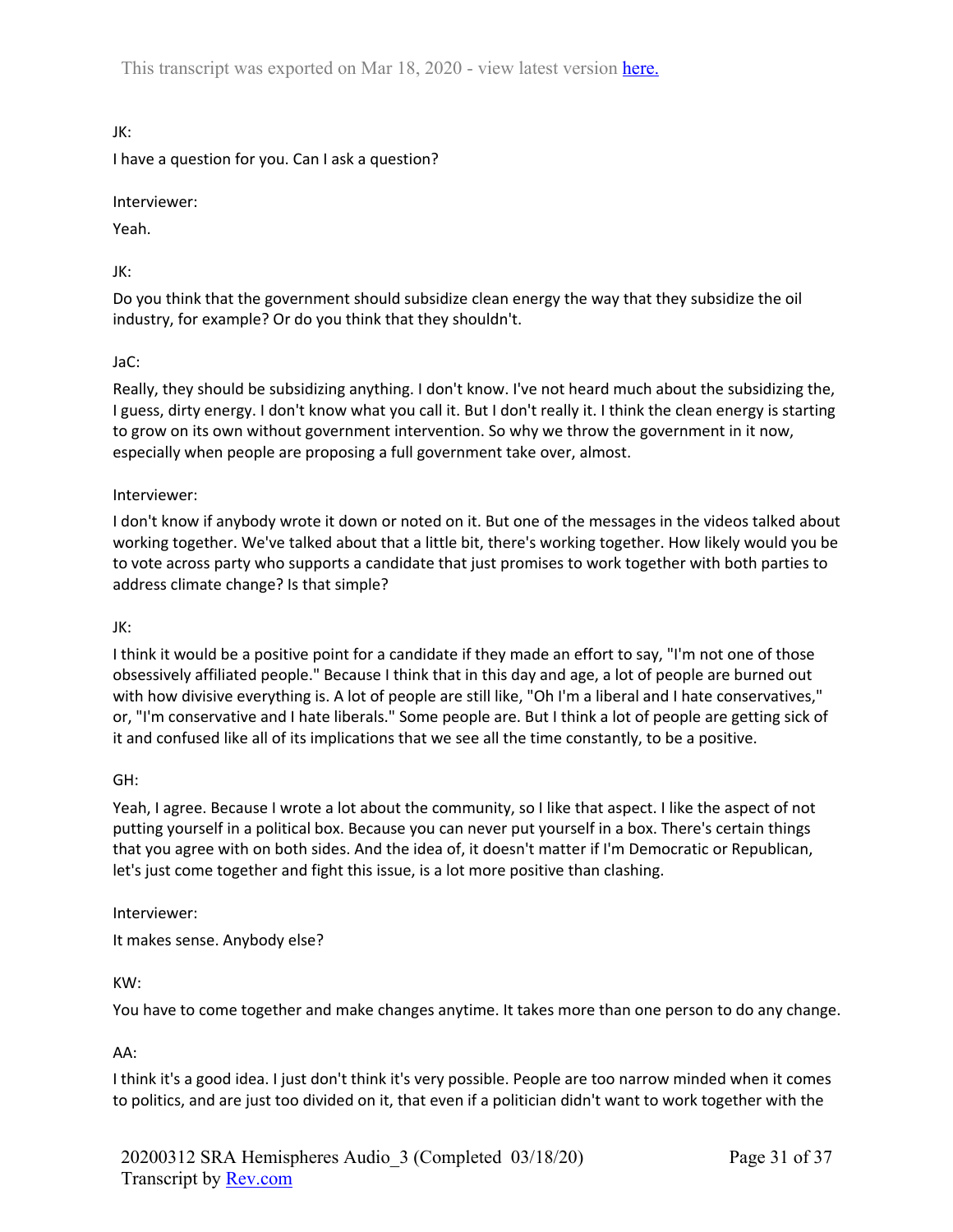JK:

I have a question for you. Can I ask a question?

Interviewer:

Yeah.

JK:

Do you think that the government should subsidize clean energy the way that they subsidize the oil industry, for example? Or do you think that they shouldn't.

## JaC:

Really, they should be subsidizing anything. I don't know. I've not heard much about the subsidizing the, I guess, dirty energy. I don't know what you call it. But I don't really it. I think the clean energy is starting to grow on its own without government intervention. So why we throw the government in it now, especially when people are proposing a full government take over, almost.

### Interviewer:

I don't know if anybody wrote it down or noted on it. But one of the messages in the videos talked about working together. We've talked about that a little bit, there's working together. How likely would you be to vote across party who supports a candidate that just promises to work together with both parties to address climate change? Is that simple?

#### JK:

I think it would be a positive point for a candidate if they made an effort to say, "I'm not one of those obsessively affiliated people." Because I think that in this day and age, a lot of people are burned out with how divisive everything is. A lot of people are still like, "Oh I'm a liberal and I hate conservatives," or, "I'm conservative and I hate liberals." Some people are. But I think a lot of people are getting sick of it and confused like all of its implications that we see all the time constantly, to be a positive.

GH:

Yeah, I agree. Because I wrote a lot about the community, so I like that aspect. I like the aspect of not putting yourself in a political box. Because you can never put yourself in a box. There's certain things that you agree with on both sides. And the idea of, it doesn't matter if I'm Democratic or Republican, let's just come together and fight this issue, is a lot more positive than clashing.

Interviewer:

It makes sense. Anybody else?

KW:

You have to come together and make changes anytime. It takes more than one person to do any change.

AA:

I think it's a good idea. I just don't think it's very possible. People are too narrow minded when it comes to politics, and are just too divided on it, that even if a politician didn't want to work together with the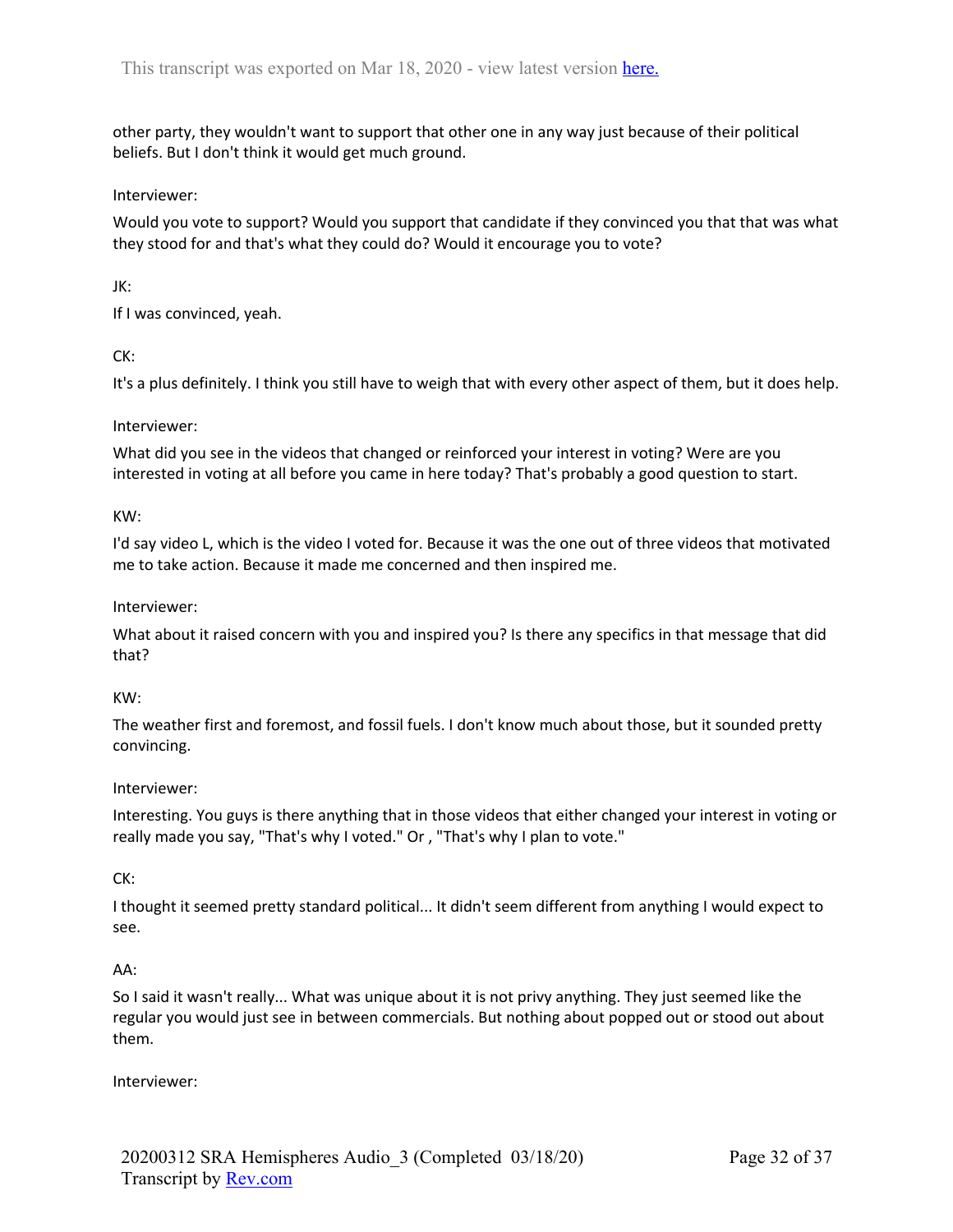other party, they wouldn't want to support that other one in any way just because of their political beliefs. But I don't think it would get much ground.

#### Interviewer:

Would you vote to support? Would you support that candidate if they convinced you that that was what they stood for and that's what they could do? Would it encourage you to vote?

### JK:

If I was convinced, yeah.

### CK:

It's a plus definitely. I think you still have to weigh that with every other aspect of them, but it does help.

### Interviewer:

What did you see in the videos that changed or reinforced your interest in voting? Were are you interested in voting at all before you came in here today? That's probably a good question to start.

#### KW:

I'd say video L, which is the video I voted for. Because it was the one out of three videos that motivated me to take action. Because it made me concerned and then inspired me.

#### Interviewer:

What about it raised concern with you and inspired you? Is there any specifics in that message that did that?

#### KW:

The weather first and foremost, and fossil fuels. I don't know much about those, but it sounded pretty convincing.

#### Interviewer:

Interesting. You guys is there anything that in those videos that either changed your interest in voting or really made you say, "That's why I voted." Or , "That's why I plan to vote."

## CK:

I thought it seemed pretty standard political... It didn't seem different from anything I would expect to see.

#### AA:

So I said it wasn't really... What was unique about it is not privy anything. They just seemed like the regular you would just see in between commercials. But nothing about popped out or stood out about them.

#### Interviewer: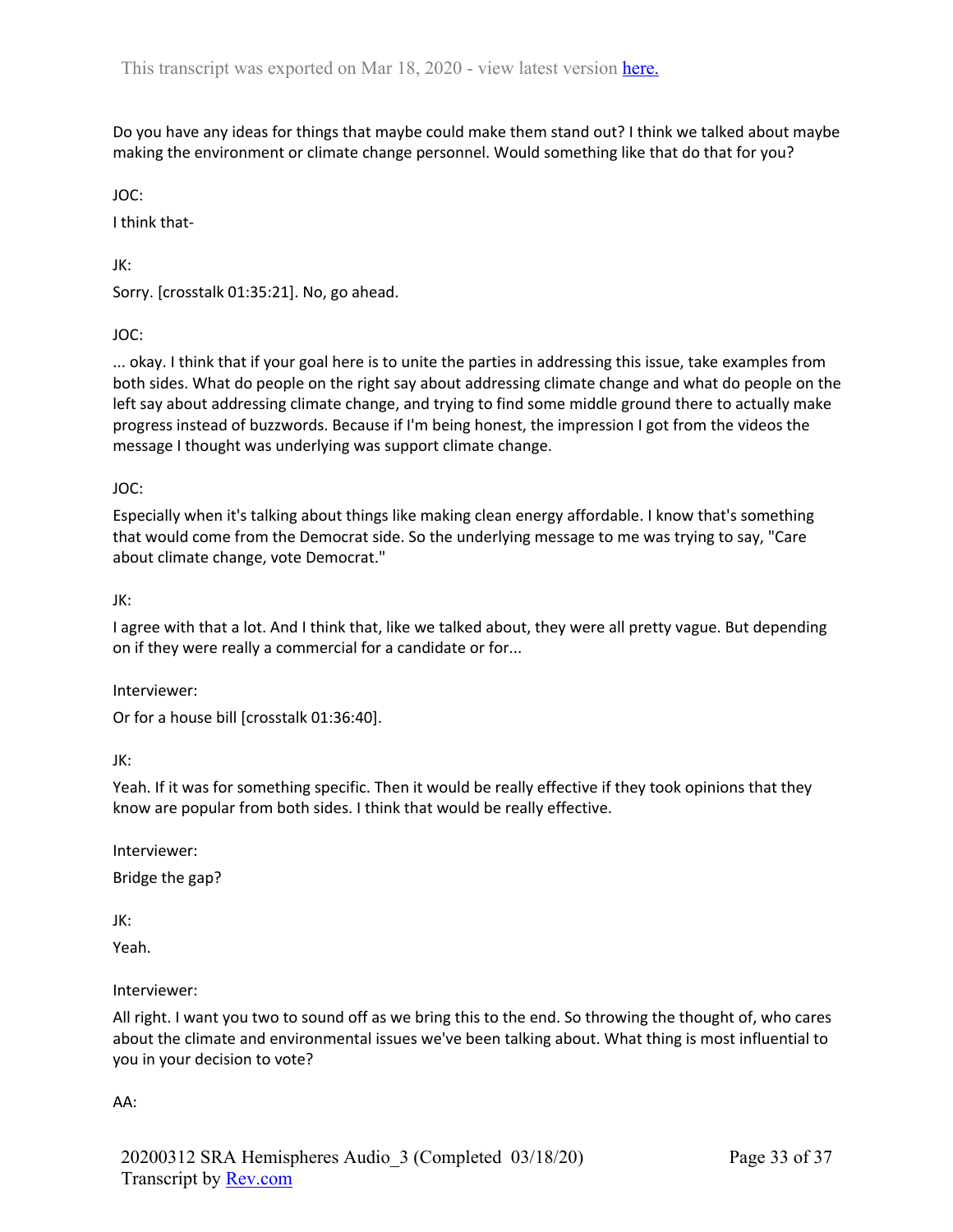Do you have any ideas for things that maybe could make them stand out? I think we talked about maybe making the environment or climate change personnel. Would something like that do that for you?

JOC:

I think that-

JK:

Sorry. [crosstalk 01:35:21]. No, go ahead.

JOC:

... okay. I think that if your goal here is to unite the parties in addressing this issue, take examples from both sides. What do people on the right say about addressing climate change and what do people on the left say about addressing climate change, and trying to find some middle ground there to actually make progress instead of buzzwords. Because if I'm being honest, the impression I got from the videos the message I thought was underlying was support climate change.

JOC:

Especially when it's talking about things like making clean energy affordable. I know that's something that would come from the Democrat side. So the underlying message to me was trying to say, "Care about climate change, vote Democrat."

JK:

I agree with that a lot. And I think that, like we talked about, they were all pretty vague. But depending on if they were really a commercial for a candidate or for...

Interviewer:

Or for a house bill [crosstalk 01:36:40].

JK:

Yeah. If it was for something specific. Then it would be really effective if they took opinions that they know are popular from both sides. I think that would be really effective.

Interviewer: Bridge the gap?

JK:

Yeah.

Interviewer:

All right. I want you two to sound off as we bring this to the end. So throwing the thought of, who cares about the climate and environmental issues we've been talking about. What thing is most influential to you in your decision to vote?

AA: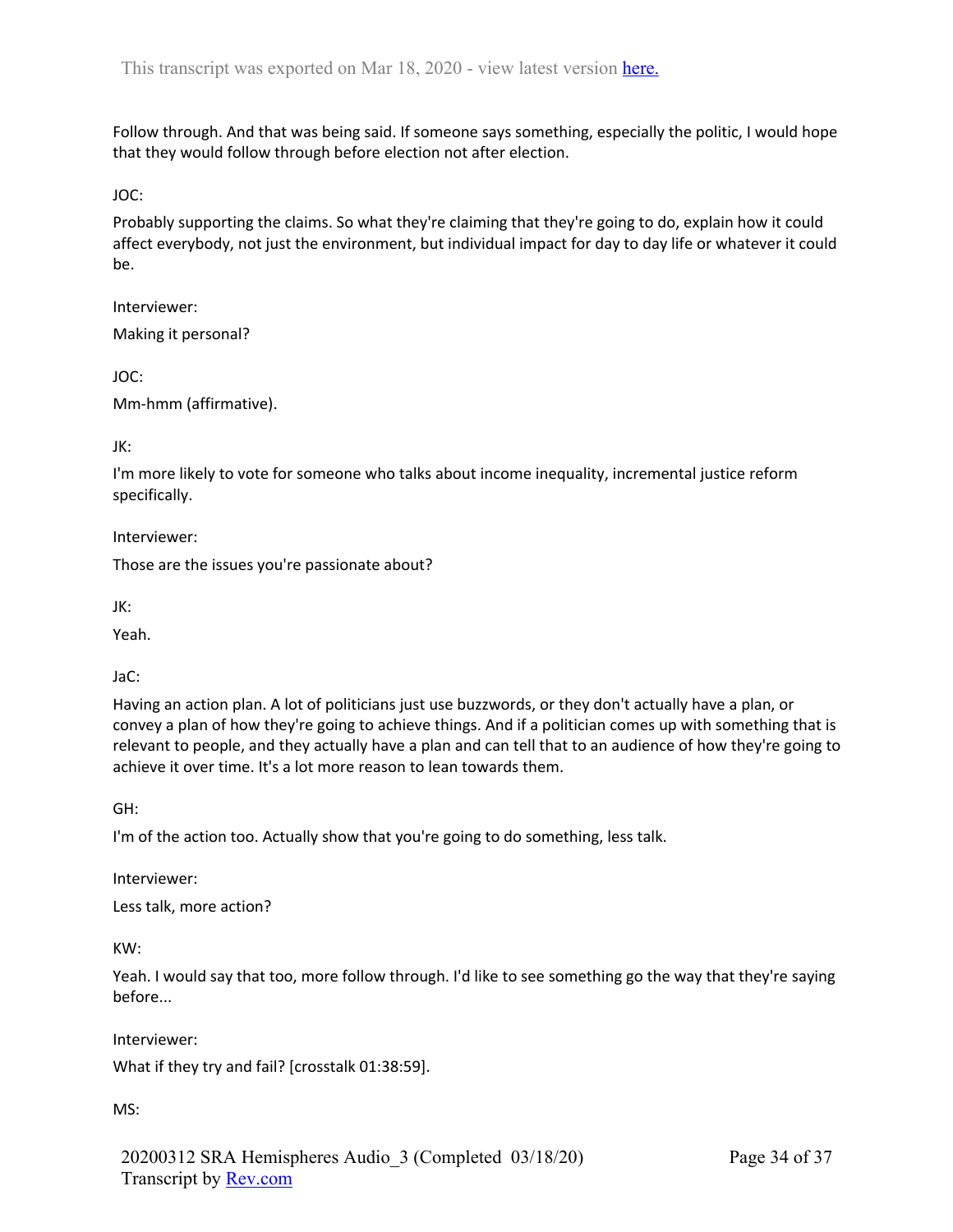Follow through. And that was being said. If someone says something, especially the politic, I would hope that they would follow through before election not after election.

JOC:

Probably supporting the claims. So what they're claiming that they're going to do, explain how it could affect everybody, not just the environment, but individual impact for day to day life or whatever it could be.

Interviewer: Making it personal?

JOC:

Mm-hmm (affirmative).

JK:

I'm more likely to vote for someone who talks about income inequality, incremental justice reform specifically.

Interviewer:

Those are the issues you're passionate about?

JK:

Yeah.

JaC:

Having an action plan. A lot of politicians just use buzzwords, or they don't actually have a plan, or convey a plan of how they're going to achieve things. And if a politician comes up with something that is relevant to people, and they actually have a plan and can tell that to an audience of how they're going to achieve it over time. It's a lot more reason to lean towards them.

GH:

I'm of the action too. Actually show that you're going to do something, less talk.

Interviewer:

Less talk, more action?

KW:

Yeah. I would say that too, more follow through. I'd like to see something go the way that they're saying before...

Interviewer:

What if they try and fail? [crosstalk 01:38:59].

MS:

20200312 SRA Hemispheres Audio\_3 (Completed 03/18/20) Transcript by Rev.com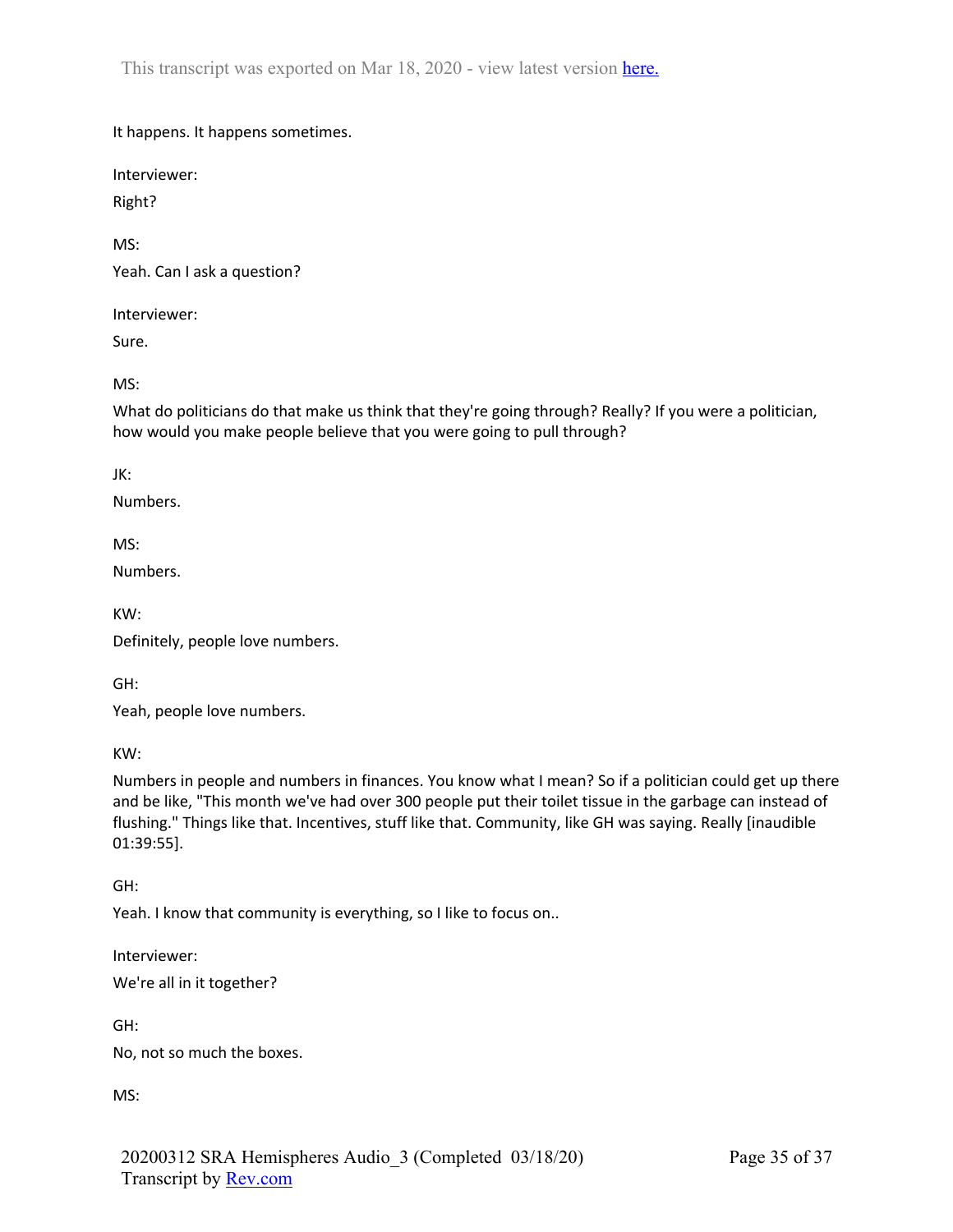It happens. It happens sometimes.

Interviewer:

Right?

MS:

Yeah. Can I ask a question?

Interviewer:

Sure.

MS:

What do politicians do that make us think that they're going through? Really? If you were a politician, how would you make people believe that you were going to pull through?

JK:

Numbers.

MS:

Numbers.

KW:

Definitely, people love numbers.

GH:

Yeah, people love numbers.

KW:

Numbers in people and numbers in finances. You know what I mean? So if a politician could get up there and be like, "This month we've had over 300 people put their toilet tissue in the garbage can instead of flushing." Things like that. Incentives, stuff like that. Community, like GH was saying. Really [inaudible 01:39:55].

GH:

Yeah. I know that community is everything, so I like to focus on..

Interviewer:

We're all in it together?

GH:

No, not so much the boxes.

MS: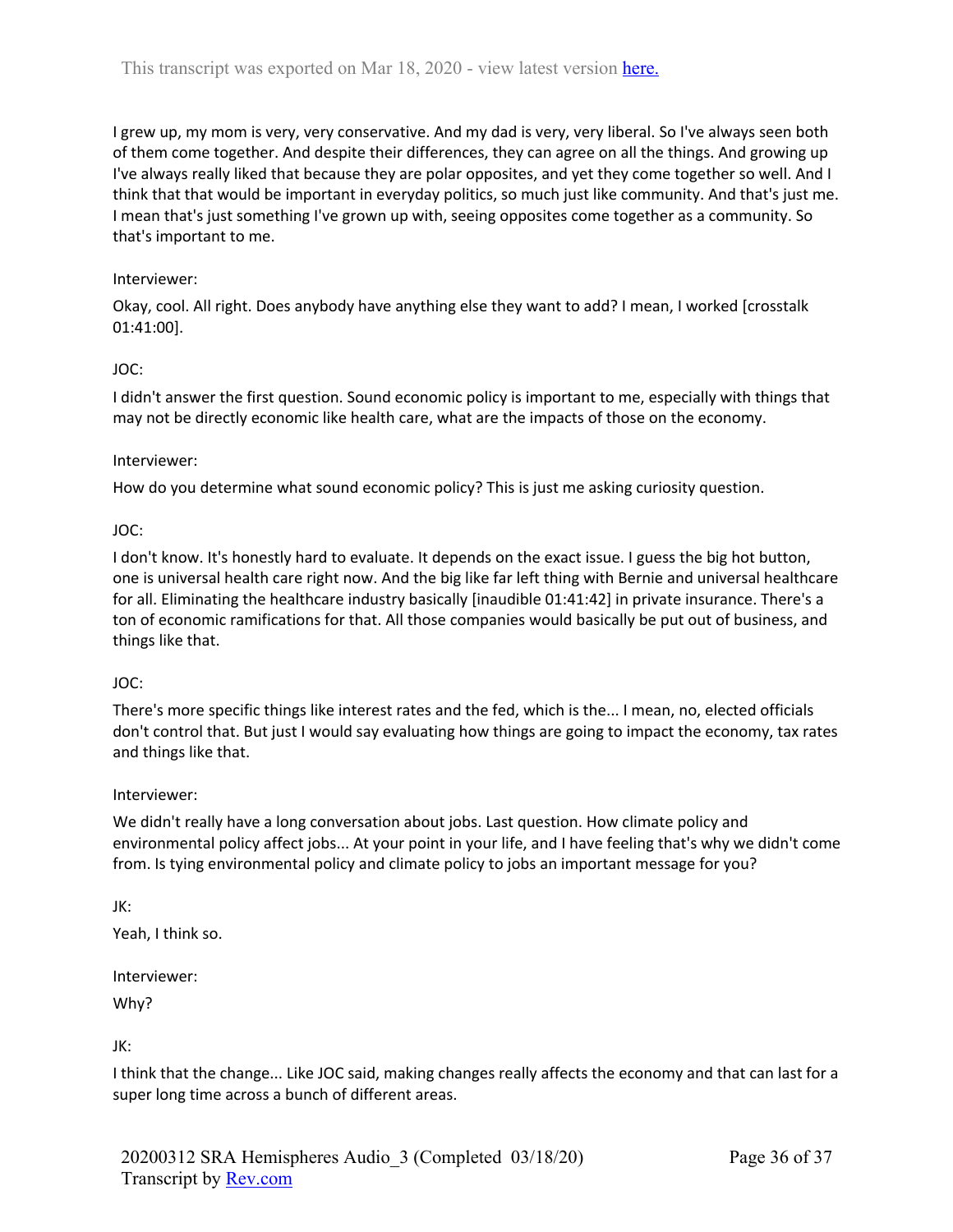I grew up, my mom is very, very conservative. And my dad is very, very liberal. So I've always seen both of them come together. And despite their differences, they can agree on all the things. And growing up I've always really liked that because they are polar opposites, and yet they come together so well. And I think that that would be important in everyday politics, so much just like community. And that's just me. I mean that's just something I've grown up with, seeing opposites come together as a community. So that's important to me.

#### Interviewer:

Okay, cool. All right. Does anybody have anything else they want to add? I mean, I worked [crosstalk 01:41:00].

### JOC:

I didn't answer the first question. Sound economic policy is important to me, especially with things that may not be directly economic like health care, what are the impacts of those on the economy.

#### Interviewer:

How do you determine what sound economic policy? This is just me asking curiosity question.

### JOC:

I don't know. It's honestly hard to evaluate. It depends on the exact issue. I guess the big hot button, one is universal health care right now. And the big like far left thing with Bernie and universal healthcare for all. Eliminating the healthcare industry basically [inaudible 01:41:42] in private insurance. There's a ton of economic ramifications for that. All those companies would basically be put out of business, and things like that.

#### JOC:

There's more specific things like interest rates and the fed, which is the... I mean, no, elected officials don't control that. But just I would say evaluating how things are going to impact the economy, tax rates and things like that.

#### Interviewer:

We didn't really have a long conversation about jobs. Last question. How climate policy and environmental policy affect jobs... At your point in your life, and I have feeling that's why we didn't come from. Is tying environmental policy and climate policy to jobs an important message for you?

## JK:

Yeah, I think so.

Interviewer:

Why?

JK:

I think that the change... Like JOC said, making changes really affects the economy and that can last for a super long time across a bunch of different areas.